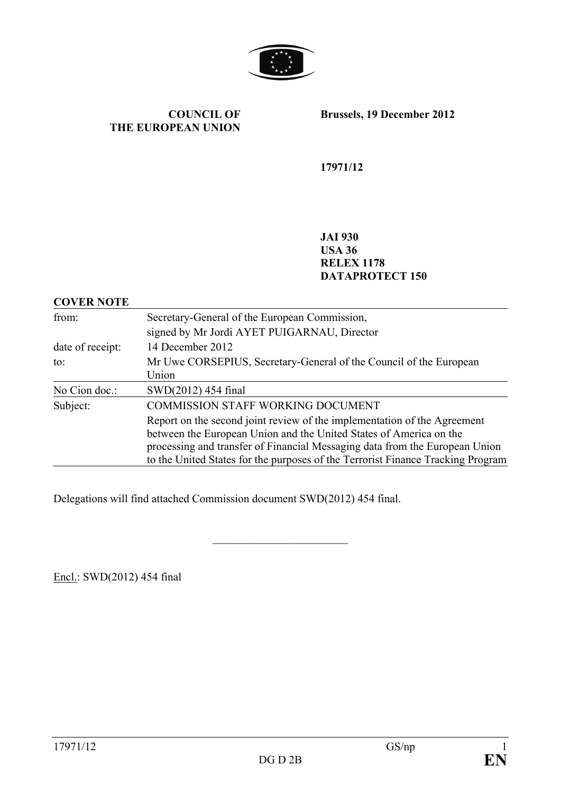

#### **COUNCIL OF THE EUROPEAN UNION**

**Brussels, 19 December 2012**

**17971/12**

**JAI 930 USA 36 RELEX 1178 DATAPROTECT 150**

#### **COVER NOTE**

| from:<br>Secretary-General of the European Commission, |                                                                                                                                                                |  |  |  |
|--------------------------------------------------------|----------------------------------------------------------------------------------------------------------------------------------------------------------------|--|--|--|
|                                                        | signed by Mr Jordi AYET PUIGARNAU, Director                                                                                                                    |  |  |  |
| date of receipt:                                       | 14 December 2012                                                                                                                                               |  |  |  |
| to:                                                    | Mr Uwe CORSEPIUS, Secretary-General of the Council of the European                                                                                             |  |  |  |
|                                                        | Union                                                                                                                                                          |  |  |  |
| No Cion doc.:                                          | SWD(2012) 454 final                                                                                                                                            |  |  |  |
| Subject:                                               | <b>COMMISSION STAFF WORKING DOCUMENT</b>                                                                                                                       |  |  |  |
|                                                        | Report on the second joint review of the implementation of the Agreement<br>between the European Union and the United States of America on the                 |  |  |  |
|                                                        | processing and transfer of Financial Messaging data from the European Union<br>to the United States for the purposes of the Terrorist Finance Tracking Program |  |  |  |
|                                                        |                                                                                                                                                                |  |  |  |

 $\overline{\phantom{a}}$  , which is a set of the set of the set of the set of the set of the set of the set of the set of the set of the set of the set of the set of the set of the set of the set of the set of the set of the set of th

Delegations will find attached Commission document SWD(2012) 454 final.

Encl.: SWD(2012) 454 final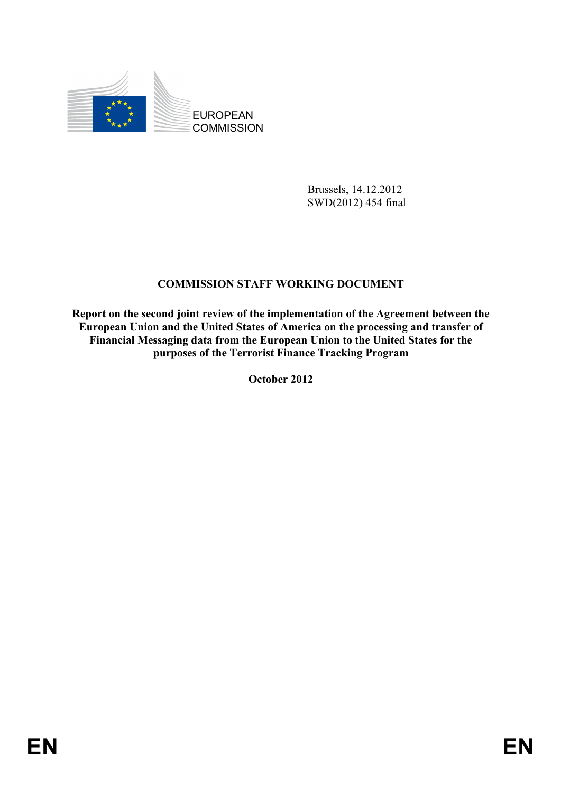

Brussels, 14.12.2012 SWD(2012) 454 final

### **COMMISSION STAFF WORKING DOCUMENT**

**Report on the second joint review of the implementation of the Agreement between the European Union and the United States of America on the processing and transfer of Financial Messaging data from the European Union to the United States for the purposes of the Terrorist Finance Tracking Program** 

**October 2012**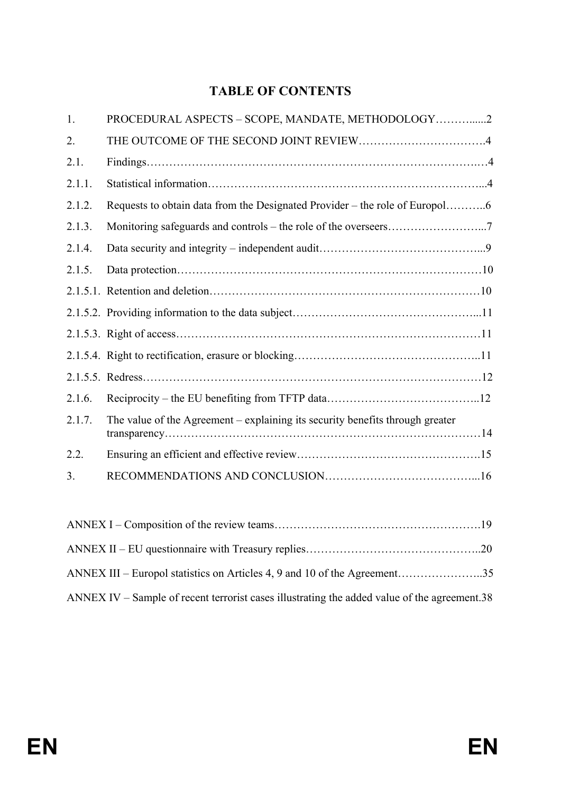# **TABLE OF CONTENTS**

| 1.     | PROCEDURAL ASPECTS - SCOPE, MANDATE, METHODOLOGY2                             |
|--------|-------------------------------------------------------------------------------|
| 2.     |                                                                               |
| 2.1.   |                                                                               |
| 2.1.1. |                                                                               |
| 2.1.2. |                                                                               |
| 2.1.3. |                                                                               |
| 2.1.4. |                                                                               |
| 2.1.5. |                                                                               |
|        |                                                                               |
|        |                                                                               |
|        |                                                                               |
|        |                                                                               |
|        |                                                                               |
| 2.1.6. |                                                                               |
| 2.1.7. | The value of the Agreement – explaining its security benefits through greater |
| 2.2.   |                                                                               |
| 3.     |                                                                               |
|        |                                                                               |

| ANNEX III – Europol statistics on Articles 4, 9 and 10 of the Agreement35                    |  |
|----------------------------------------------------------------------------------------------|--|
| ANNEX IV – Sample of recent terrorist cases illustrating the added value of the agreement.38 |  |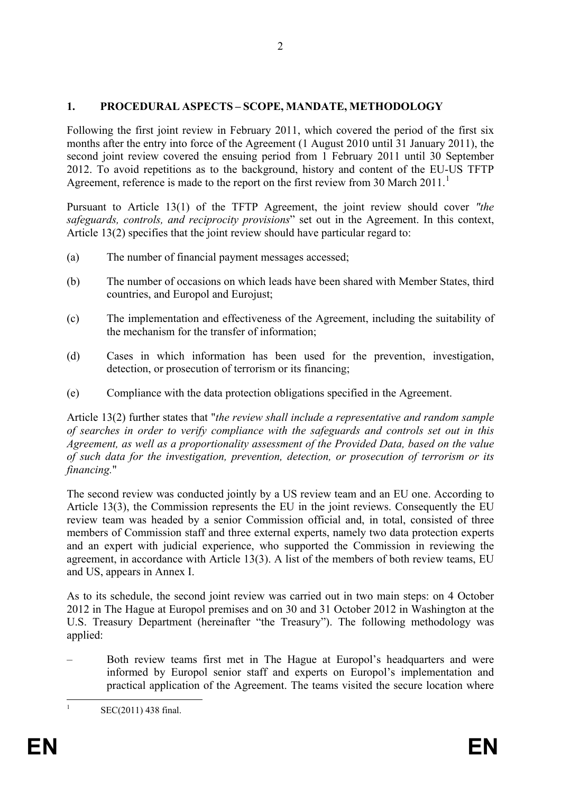### **1. PROCEDURAL ASPECTS – SCOPE, MANDATE, METHODOLOGY**

Following the first joint review in February 2011, which covered the period of the first six months after the entry into force of the Agreement (1 August 2010 until 31 January 2011), the second joint review covered the ensuing period from 1 February 2011 until 30 September 2012. To avoid repetitions as to the background, history and content of the EU-US TFTP Agreement, reference is made to the report on the first review from 30 March 20[1](#page-3-0)1.<sup>1</sup>

Pursuant to Article 13(1) of the TFTP Agreement, the joint review should cover *"the safeguards, controls, and reciprocity provisions*" set out in the Agreement. In this context, Article 13(2) specifies that the joint review should have particular regard to:

- (a) The number of financial payment messages accessed;
- (b) The number of occasions on which leads have been shared with Member States, third countries, and Europol and Eurojust;
- (c) The implementation and effectiveness of the Agreement, including the suitability of the mechanism for the transfer of information;
- (d) Cases in which information has been used for the prevention, investigation, detection, or prosecution of terrorism or its financing;
- (e) Compliance with the data protection obligations specified in the Agreement.

Article 13(2) further states that "*the review shall include a representative and random sample of searches in order to verify compliance with the safeguards and controls set out in this Agreement, as well as a proportionality assessment of the Provided Data, based on the value of such data for the investigation, prevention, detection, or prosecution of terrorism or its financing.*"

The second review was conducted jointly by a US review team and an EU one. According to Article 13(3), the Commission represents the EU in the joint reviews. Consequently the EU review team was headed by a senior Commission official and, in total, consisted of three members of Commission staff and three external experts, namely two data protection experts and an expert with judicial experience, who supported the Commission in reviewing the agreement, in accordance with Article 13(3). A list of the members of both review teams, EU and US, appears in Annex I.

As to its schedule, the second joint review was carried out in two main steps: on 4 October 2012 in The Hague at Europol premises and on 30 and 31 October 2012 in Washington at the U.S. Treasury Department (hereinafter "the Treasury"). The following methodology was applied:

– Both review teams first met in The Hague at Europol's headquarters and were informed by Europol senior staff and experts on Europol's implementation and practical application of the Agreement. The teams visited the secure location where

<span id="page-3-0"></span>

 ${}^{1}$  SEC(2011) 438 final.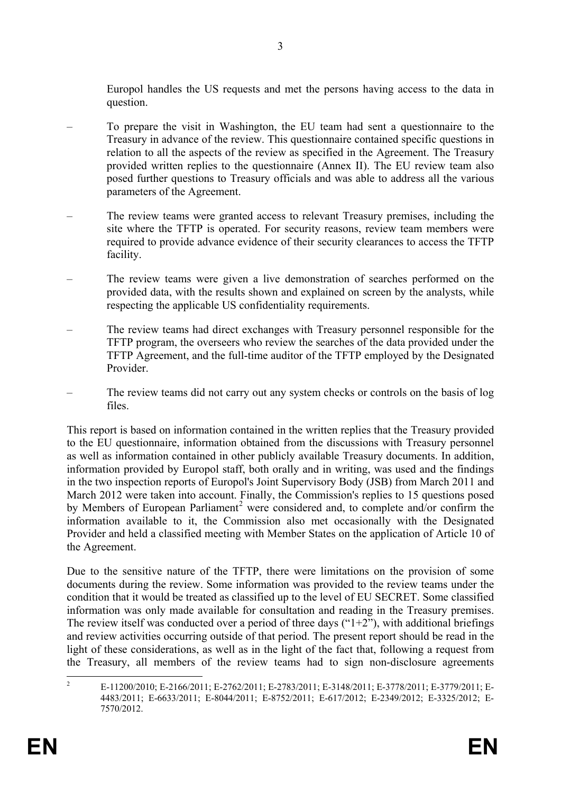Europol handles the US requests and met the persons having access to the data in question.

- To prepare the visit in Washington, the EU team had sent a questionnaire to the Treasury in advance of the review. This questionnaire contained specific questions in relation to all the aspects of the review as specified in the Agreement. The Treasury provided written replies to the questionnaire (Annex II). The EU review team also posed further questions to Treasury officials and was able to address all the various parameters of the Agreement.
- The review teams were granted access to relevant Treasury premises, including the site where the TFTP is operated. For security reasons, review team members were required to provide advance evidence of their security clearances to access the TFTP facility.
- The review teams were given a live demonstration of searches performed on the provided data, with the results shown and explained on screen by the analysts, while respecting the applicable US confidentiality requirements.
- The review teams had direct exchanges with Treasury personnel responsible for the TFTP program, the overseers who review the searches of the data provided under the TFTP Agreement, and the full-time auditor of the TFTP employed by the Designated Provider.
- The review teams did not carry out any system checks or controls on the basis of log files.

This report is based on information contained in the written replies that the Treasury provided to the EU questionnaire, information obtained from the discussions with Treasury personnel as well as information contained in other publicly available Treasury documents. In addition, information provided by Europol staff, both orally and in writing, was used and the findings in the two inspection reports of Europol's Joint Supervisory Body (JSB) from March 2011 and March 2012 were taken into account. Finally, the Commission's replies to 15 questions posed by Members of European Parliament<sup>[2](#page-4-0)</sup> were considered and, to complete and/or confirm the information available to it, the Commission also met occasionally with the Designated Provider and held a classified meeting with Member States on the application of Article 10 of the Agreement.

Due to the sensitive nature of the TFTP, there were limitations on the provision of some documents during the review. Some information was provided to the review teams under the condition that it would be treated as classified up to the level of EU SECRET. Some classified information was only made available for consultation and reading in the Treasury premises. The review itself was conducted over a period of three days (" $1+2$ "), with additional briefings and review activities occurring outside of that period. The present report should be read in the light of these considerations, as well as in the light of the fact that, following a request from the Treasury, all members of the review teams had to sign non-disclosure agreements

<span id="page-4-0"></span><sup>&</sup>lt;sup>2</sup> E-11200/2010; E-2166/2011; E-2762/2011; E-2783/2011; E-3148/2011; E-3778/2011; E-3779/2011; E-4483/2011; E-6633/2011; E-8044/2011; E-8752/2011; E-617/2012; E-2349/2012; E-3325/2012; E-7570/2012.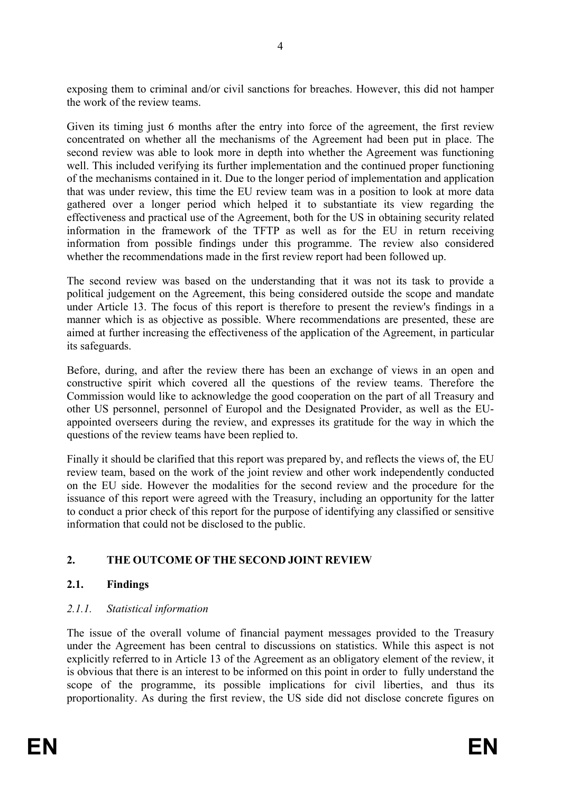exposing them to criminal and/or civil sanctions for breaches. However, this did not hamper the work of the review teams.

Given its timing just 6 months after the entry into force of the agreement, the first review concentrated on whether all the mechanisms of the Agreement had been put in place. The second review was able to look more in depth into whether the Agreement was functioning well. This included verifying its further implementation and the continued proper functioning of the mechanisms contained in it. Due to the longer period of implementation and application that was under review, this time the EU review team was in a position to look at more data gathered over a longer period which helped it to substantiate its view regarding the effectiveness and practical use of the Agreement, both for the US in obtaining security related information in the framework of the TFTP as well as for the EU in return receiving information from possible findings under this programme. The review also considered whether the recommendations made in the first review report had been followed up.

The second review was based on the understanding that it was not its task to provide a political judgement on the Agreement, this being considered outside the scope and mandate under Article 13. The focus of this report is therefore to present the review's findings in a manner which is as objective as possible. Where recommendations are presented, these are aimed at further increasing the effectiveness of the application of the Agreement, in particular its safeguards.

Before, during, and after the review there has been an exchange of views in an open and constructive spirit which covered all the questions of the review teams. Therefore the Commission would like to acknowledge the good cooperation on the part of all Treasury and other US personnel, personnel of Europol and the Designated Provider, as well as the EUappointed overseers during the review, and expresses its gratitude for the way in which the questions of the review teams have been replied to.

Finally it should be clarified that this report was prepared by, and reflects the views of, the EU review team, based on the work of the joint review and other work independently conducted on the EU side. However the modalities for the second review and the procedure for the issuance of this report were agreed with the Treasury, including an opportunity for the latter to conduct a prior check of this report for the purpose of identifying any classified or sensitive information that could not be disclosed to the public.

## **2. THE OUTCOME OF THE SECOND JOINT REVIEW**

### **2.1. Findings**

### *2.1.1. Statistical information*

The issue of the overall volume of financial payment messages provided to the Treasury under the Agreement has been central to discussions on statistics. While this aspect is not explicitly referred to in Article 13 of the Agreement as an obligatory element of the review, it is obvious that there is an interest to be informed on this point in order to fully understand the scope of the programme, its possible implications for civil liberties, and thus its proportionality. As during the first review, the US side did not disclose concrete figures on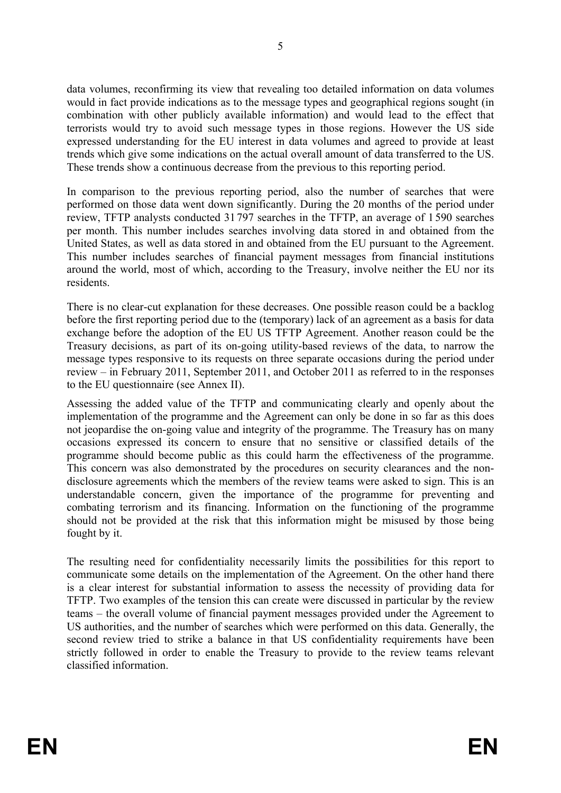data volumes, reconfirming its view that revealing too detailed information on data volumes would in fact provide indications as to the message types and geographical regions sought (in combination with other publicly available information) and would lead to the effect that terrorists would try to avoid such message types in those regions. However the US side expressed understanding for the EU interest in data volumes and agreed to provide at least trends which give some indications on the actual overall amount of data transferred to the US. These trends show a continuous decrease from the previous to this reporting period.

In comparison to the previous reporting period, also the number of searches that were performed on those data went down significantly. During the 20 months of the period under review, TFTP analysts conducted 31797 searches in the TFTP, an average of 1 590 searches per month. This number includes searches involving data stored in and obtained from the United States, as well as data stored in and obtained from the EU pursuant to the Agreement. This number includes searches of financial payment messages from financial institutions around the world, most of which, according to the Treasury, involve neither the EU nor its residents.

There is no clear-cut explanation for these decreases. One possible reason could be a backlog before the first reporting period due to the (temporary) lack of an agreement as a basis for data exchange before the adoption of the EU US TFTP Agreement. Another reason could be the Treasury decisions, as part of its on-going utility-based reviews of the data, to narrow the message types responsive to its requests on three separate occasions during the period under review – in February 2011, September 2011, and October 2011 as referred to in the responses to the EU questionnaire (see Annex II).

Assessing the added value of the TFTP and communicating clearly and openly about the implementation of the programme and the Agreement can only be done in so far as this does not jeopardise the on-going value and integrity of the programme. The Treasury has on many occasions expressed its concern to ensure that no sensitive or classified details of the programme should become public as this could harm the effectiveness of the programme. This concern was also demonstrated by the procedures on security clearances and the nondisclosure agreements which the members of the review teams were asked to sign. This is an understandable concern, given the importance of the programme for preventing and combating terrorism and its financing. Information on the functioning of the programme should not be provided at the risk that this information might be misused by those being fought by it.

The resulting need for confidentiality necessarily limits the possibilities for this report to communicate some details on the implementation of the Agreement. On the other hand there is a clear interest for substantial information to assess the necessity of providing data for TFTP. Two examples of the tension this can create were discussed in particular by the review teams – the overall volume of financial payment messages provided under the Agreement to US authorities, and the number of searches which were performed on this data. Generally, the second review tried to strike a balance in that US confidentiality requirements have been strictly followed in order to enable the Treasury to provide to the review teams relevant classified information.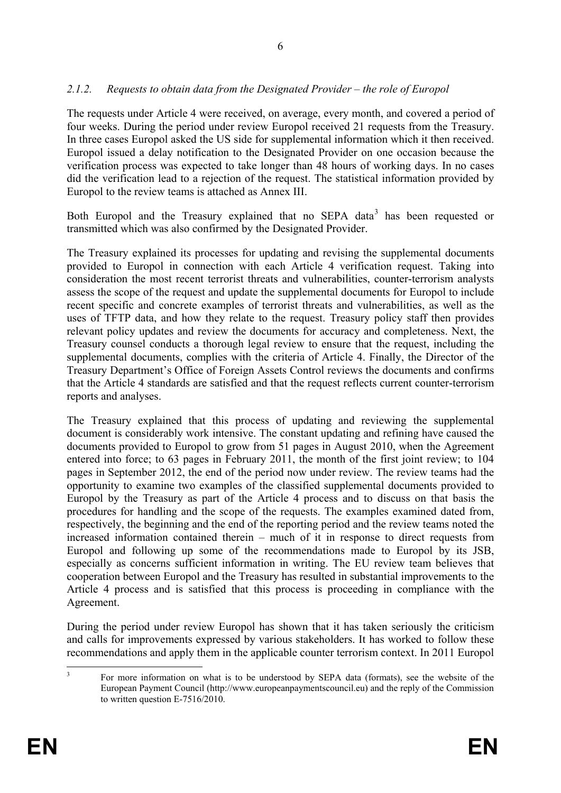### *2.1.2. Requests to obtain data from the Designated Provider – the role of Europol*

The requests under Article 4 were received, on average, every month, and covered a period of four weeks. During the period under review Europol received 21 requests from the Treasury. In three cases Europol asked the US side for supplemental information which it then received. Europol issued a delay notification to the Designated Provider on one occasion because the verification process was expected to take longer than 48 hours of working days. In no cases did the verification lead to a rejection of the request. The statistical information provided by Europol to the review teams is attached as Annex III.

Both Europol and the Treasury explained that no SEPA data<sup>[3](#page-7-0)</sup> has been requested or transmitted which was also confirmed by the Designated Provider.

The Treasury explained its processes for updating and revising the supplemental documents provided to Europol in connection with each Article 4 verification request. Taking into consideration the most recent terrorist threats and vulnerabilities, counter-terrorism analysts assess the scope of the request and update the supplemental documents for Europol to include recent specific and concrete examples of terrorist threats and vulnerabilities, as well as the uses of TFTP data, and how they relate to the request. Treasury policy staff then provides relevant policy updates and review the documents for accuracy and completeness. Next, the Treasury counsel conducts a thorough legal review to ensure that the request, including the supplemental documents, complies with the criteria of Article 4. Finally, the Director of the Treasury Department's Office of Foreign Assets Control reviews the documents and confirms that the Article 4 standards are satisfied and that the request reflects current counter-terrorism reports and analyses.

The Treasury explained that this process of updating and reviewing the supplemental document is considerably work intensive. The constant updating and refining have caused the documents provided to Europol to grow from 51 pages in August 2010, when the Agreement entered into force; to 63 pages in February 2011, the month of the first joint review; to 104 pages in September 2012, the end of the period now under review. The review teams had the opportunity to examine two examples of the classified supplemental documents provided to Europol by the Treasury as part of the Article 4 process and to discuss on that basis the procedures for handling and the scope of the requests. The examples examined dated from, respectively, the beginning and the end of the reporting period and the review teams noted the increased information contained therein – much of it in response to direct requests from Europol and following up some of the recommendations made to Europol by its JSB, especially as concerns sufficient information in writing. The EU review team believes that cooperation between Europol and the Treasury has resulted in substantial improvements to the Article 4 process and is satisfied that this process is proceeding in compliance with the Agreement.

During the period under review Europol has shown that it has taken seriously the criticism and calls for improvements expressed by various stakeholders. It has worked to follow these recommendations and apply them in the applicable counter terrorism context. In 2011 Europol

<span id="page-7-0"></span><sup>&</sup>lt;sup>3</sup> For more information on what is to be understood by SEPA data (formats), see the website of the European Payment Council (http://www.europeanpaymentscouncil.eu) and the reply of the Commission to written question E-7516/2010.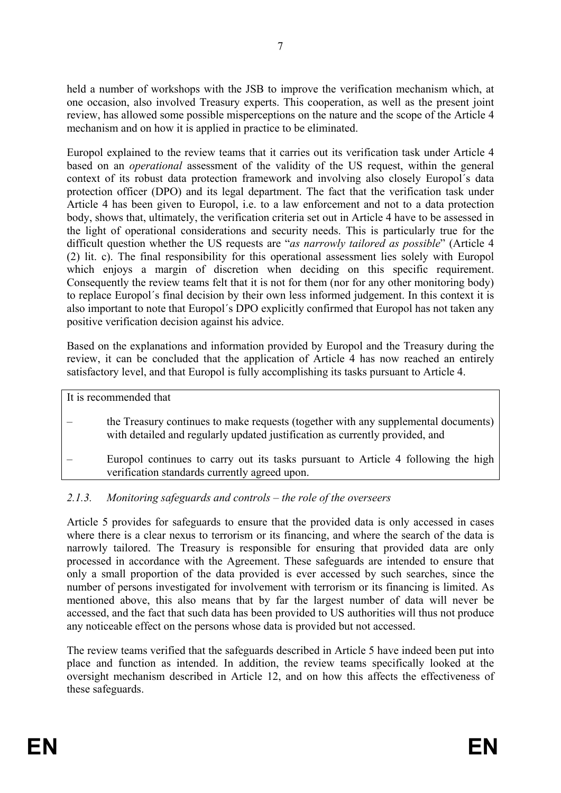held a number of workshops with the JSB to improve the verification mechanism which, at one occasion, also involved Treasury experts. This cooperation, as well as the present joint review, has allowed some possible misperceptions on the nature and the scope of the Article 4 mechanism and on how it is applied in practice to be eliminated.

Europol explained to the review teams that it carries out its verification task under Article 4 based on an *operational* assessment of the validity of the US request, within the general context of its robust data protection framework and involving also closely Europol´s data protection officer (DPO) and its legal department. The fact that the verification task under Article 4 has been given to Europol, i.e. to a law enforcement and not to a data protection body, shows that, ultimately, the verification criteria set out in Article 4 have to be assessed in the light of operational considerations and security needs. This is particularly true for the difficult question whether the US requests are "*as narrowly tailored as possible*" (Article 4 (2) lit. c). The final responsibility for this operational assessment lies solely with Europol which enjoys a margin of discretion when deciding on this specific requirement. Consequently the review teams felt that it is not for them (nor for any other monitoring body) to replace Europol´s final decision by their own less informed judgement. In this context it is also important to note that Europol´s DPO explicitly confirmed that Europol has not taken any positive verification decision against his advice.

Based on the explanations and information provided by Europol and the Treasury during the review, it can be concluded that the application of Article 4 has now reached an entirely satisfactory level, and that Europol is fully accomplishing its tasks pursuant to Article 4.

It is recommended that

- the Treasury continues to make requests (together with any supplemental documents) with detailed and regularly updated justification as currently provided, and
- Europol continues to carry out its tasks pursuant to Article 4 following the high verification standards currently agreed upon.

### *2.1.3. Monitoring safeguards and controls – the role of the overseers*

Article 5 provides for safeguards to ensure that the provided data is only accessed in cases where there is a clear nexus to terrorism or its financing, and where the search of the data is narrowly tailored. The Treasury is responsible for ensuring that provided data are only processed in accordance with the Agreement. These safeguards are intended to ensure that only a small proportion of the data provided is ever accessed by such searches, since the number of persons investigated for involvement with terrorism or its financing is limited. As mentioned above, this also means that by far the largest number of data will never be accessed, and the fact that such data has been provided to US authorities will thus not produce any noticeable effect on the persons whose data is provided but not accessed.

The review teams verified that the safeguards described in Article 5 have indeed been put into place and function as intended. In addition, the review teams specifically looked at the oversight mechanism described in Article 12, and on how this affects the effectiveness of these safeguards.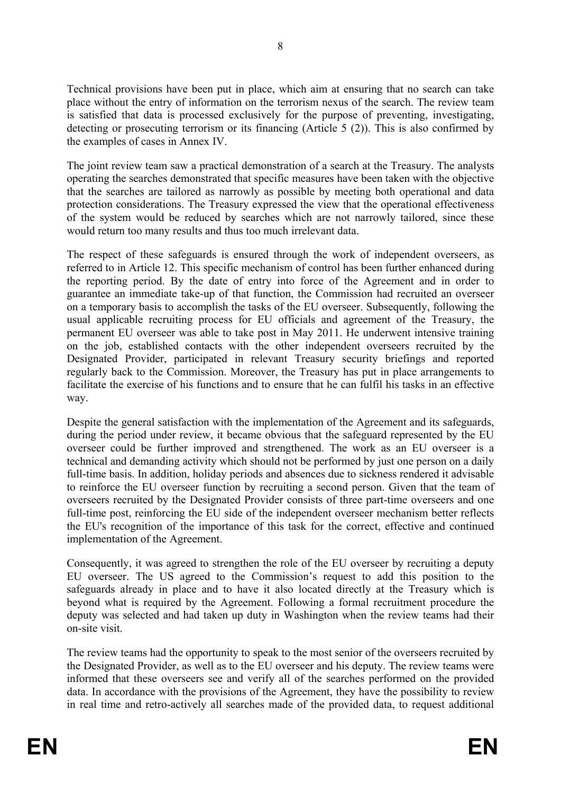Technical provisions have been put in place, which aim at ensuring that no search can take place without the entry of information on the terrorism nexus of the search. The review team is satisfied that data is processed exclusively for the purpose of preventing, investigating, detecting or prosecuting terrorism or its financing (Article 5 (2)). This is also confirmed by the examples of cases in Annex IV.

The joint review team saw a practical demonstration of a search at the Treasury. The analysts operating the searches demonstrated that specific measures have been taken with the objective that the searches are tailored as narrowly as possible by meeting both operational and data protection considerations. The Treasury expressed the view that the operational effectiveness of the system would be reduced by searches which are not narrowly tailored, since these would return too many results and thus too much irrelevant data.

The respect of these safeguards is ensured through the work of independent overseers, as referred to in Article 12. This specific mechanism of control has been further enhanced during the reporting period. By the date of entry into force of the Agreement and in order to guarantee an immediate take-up of that function, the Commission had recruited an overseer on a temporary basis to accomplish the tasks of the EU overseer. Subsequently, following the usual applicable recruiting process for EU officials and agreement of the Treasury, the permanent EU overseer was able to take post in May 2011. He underwent intensive training on the job, established contacts with the other independent overseers recruited by the Designated Provider, participated in relevant Treasury security briefings and reported regularly back to the Commission. Moreover, the Treasury has put in place arrangements to facilitate the exercise of his functions and to ensure that he can fulfil his tasks in an effective way.

Despite the general satisfaction with the implementation of the Agreement and its safeguards, during the period under review, it became obvious that the safeguard represented by the EU overseer could be further improved and strengthened. The work as an EU overseer is a technical and demanding activity which should not be performed by just one person on a daily full-time basis. In addition, holiday periods and absences due to sickness rendered it advisable to reinforce the EU overseer function by recruiting a second person. Given that the team of overseers recruited by the Designated Provider consists of three part-time overseers and one full-time post, reinforcing the EU side of the independent overseer mechanism better reflects the EU's recognition of the importance of this task for the correct, effective and continued implementation of the Agreement.

Consequently, it was agreed to strengthen the role of the EU overseer by recruiting a deputy EU overseer. The US agreed to the Commission's request to add this position to the safeguards already in place and to have it also located directly at the Treasury which is beyond what is required by the Agreement. Following a formal recruitment procedure the deputy was selected and had taken up duty in Washington when the review teams had their on-site visit.

The review teams had the opportunity to speak to the most senior of the overseers recruited by the Designated Provider, as well as to the EU overseer and his deputy. The review teams were informed that these overseers see and verify all of the searches performed on the provided data. In accordance with the provisions of the Agreement, they have the possibility to review in real time and retro-actively all searches made of the provided data, to request additional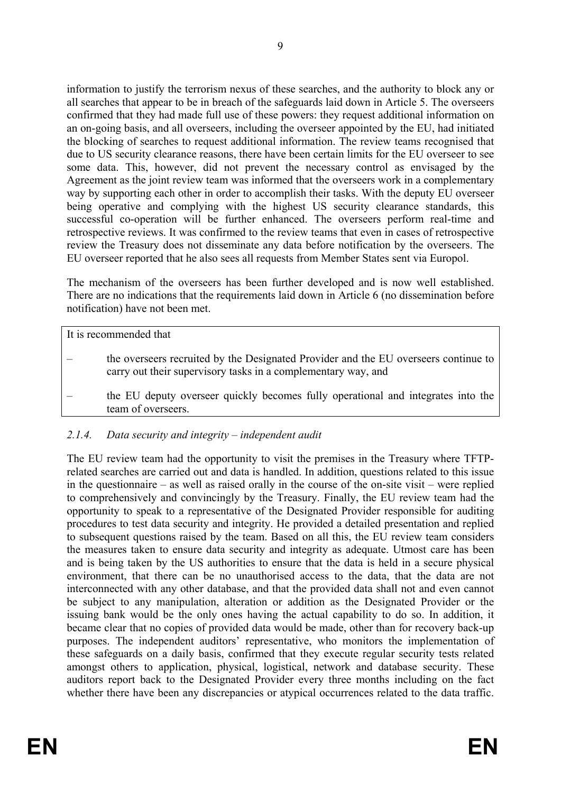information to justify the terrorism nexus of these searches, and the authority to block any or all searches that appear to be in breach of the safeguards laid down in Article 5. The overseers confirmed that they had made full use of these powers: they request additional information on an on-going basis, and all overseers, including the overseer appointed by the EU, had initiated the blocking of searches to request additional information. The review teams recognised that due to US security clearance reasons, there have been certain limits for the EU overseer to see some data. This, however, did not prevent the necessary control as envisaged by the Agreement as the joint review team was informed that the overseers work in a complementary way by supporting each other in order to accomplish their tasks. With the deputy EU overseer being operative and complying with the highest US security clearance standards, this successful co-operation will be further enhanced. The overseers perform real-time and retrospective reviews. It was confirmed to the review teams that even in cases of retrospective review the Treasury does not disseminate any data before notification by the overseers. The EU overseer reported that he also sees all requests from Member States sent via Europol.

The mechanism of the overseers has been further developed and is now well established. There are no indications that the requirements laid down in Article 6 (no dissemination before notification) have not been met.

It is recommended that

- the overseers recruited by the Designated Provider and the EU overseers continue to carry out their supervisory tasks in a complementary way, and
- the EU deputy overseer quickly becomes fully operational and integrates into the team of overseers.

## *2.1.4. Data security and integrity – independent audit*

The EU review team had the opportunity to visit the premises in the Treasury where TFTPrelated searches are carried out and data is handled. In addition, questions related to this issue in the questionnaire – as well as raised orally in the course of the on-site visit – were replied to comprehensively and convincingly by the Treasury. Finally, the EU review team had the opportunity to speak to a representative of the Designated Provider responsible for auditing procedures to test data security and integrity. He provided a detailed presentation and replied to subsequent questions raised by the team. Based on all this, the EU review team considers the measures taken to ensure data security and integrity as adequate. Utmost care has been and is being taken by the US authorities to ensure that the data is held in a secure physical environment, that there can be no unauthorised access to the data, that the data are not interconnected with any other database, and that the provided data shall not and even cannot be subject to any manipulation, alteration or addition as the Designated Provider or the issuing bank would be the only ones having the actual capability to do so. In addition, it became clear that no copies of provided data would be made, other than for recovery back-up purposes. The independent auditors' representative, who monitors the implementation of these safeguards on a daily basis, confirmed that they execute regular security tests related amongst others to application, physical, logistical, network and database security. These auditors report back to the Designated Provider every three months including on the fact whether there have been any discrepancies or atypical occurrences related to the data traffic.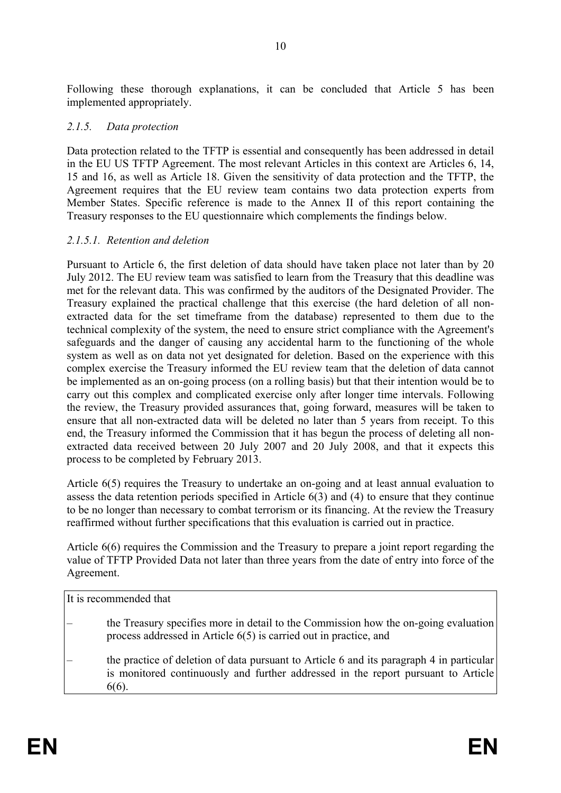Following these thorough explanations, it can be concluded that Article 5 has been implemented appropriately.

### *2.1.5. Data protection*

Data protection related to the TFTP is essential and consequently has been addressed in detail in the EU US TFTP Agreement. The most relevant Articles in this context are Articles 6, 14, 15 and 16, as well as Article 18. Given the sensitivity of data protection and the TFTP, the Agreement requires that the EU review team contains two data protection experts from Member States. Specific reference is made to the Annex II of this report containing the Treasury responses to the EU questionnaire which complements the findings below.

### *2.1.5.1. Retention and deletion*

Pursuant to Article 6, the first deletion of data should have taken place not later than by 20 July 2012. The EU review team was satisfied to learn from the Treasury that this deadline was met for the relevant data. This was confirmed by the auditors of the Designated Provider. The Treasury explained the practical challenge that this exercise (the hard deletion of all nonextracted data for the set timeframe from the database) represented to them due to the technical complexity of the system, the need to ensure strict compliance with the Agreement's safeguards and the danger of causing any accidental harm to the functioning of the whole system as well as on data not yet designated for deletion. Based on the experience with this complex exercise the Treasury informed the EU review team that the deletion of data cannot be implemented as an on-going process (on a rolling basis) but that their intention would be to carry out this complex and complicated exercise only after longer time intervals. Following the review, the Treasury provided assurances that, going forward, measures will be taken to ensure that all non-extracted data will be deleted no later than 5 years from receipt. To this end, the Treasury informed the Commission that it has begun the process of deleting all nonextracted data received between 20 July 2007 and 20 July 2008, and that it expects this process to be completed by February 2013.

Article 6(5) requires the Treasury to undertake an on-going and at least annual evaluation to assess the data retention periods specified in Article 6(3) and (4) to ensure that they continue to be no longer than necessary to combat terrorism or its financing. At the review the Treasury reaffirmed without further specifications that this evaluation is carried out in practice.

Article 6(6) requires the Commission and the Treasury to prepare a joint report regarding the value of TFTP Provided Data not later than three years from the date of entry into force of the Agreement.

It is recommended that

- the Treasury specifies more in detail to the Commission how the on-going evaluation process addressed in Article 6(5) is carried out in practice, and
- the practice of deletion of data pursuant to Article 6 and its paragraph 4 in particular is monitored continuously and further addressed in the report pursuant to Article 6(6).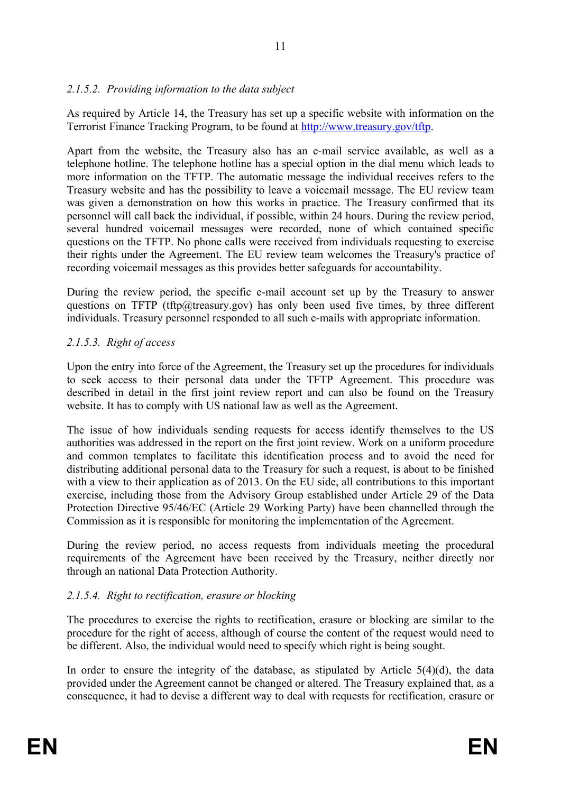### *2.1.5.2. Providing information to the data subject*

As required by Article 14, the Treasury has set up a specific website with information on the Terrorist Finance Tracking Program, to be found at [http://www.treasury.gov/tftp.](http://www.treasury.gov/tftp)

Apart from the website, the Treasury also has an e-mail service available, as well as a telephone hotline. The telephone hotline has a special option in the dial menu which leads to more information on the TFTP. The automatic message the individual receives refers to the Treasury website and has the possibility to leave a voicemail message. The EU review team was given a demonstration on how this works in practice. The Treasury confirmed that its personnel will call back the individual, if possible, within 24 hours. During the review period, several hundred voicemail messages were recorded, none of which contained specific questions on the TFTP. No phone calls were received from individuals requesting to exercise their rights under the Agreement. The EU review team welcomes the Treasury's practice of recording voicemail messages as this provides better safeguards for accountability.

During the review period, the specific e-mail account set up by the Treasury to answer questions on TFTP (tftp@treasury.gov) has only been used five times, by three different individuals. Treasury personnel responded to all such e-mails with appropriate information.

### *2.1.5.3. Right of access*

Upon the entry into force of the Agreement, the Treasury set up the procedures for individuals to seek access to their personal data under the TFTP Agreement. This procedure was described in detail in the first joint review report and can also be found on the Treasury website. It has to comply with US national law as well as the Agreement.

The issue of how individuals sending requests for access identify themselves to the US authorities was addressed in the report on the first joint review. Work on a uniform procedure and common templates to facilitate this identification process and to avoid the need for distributing additional personal data to the Treasury for such a request, is about to be finished with a view to their application as of 2013. On the EU side, all contributions to this important exercise, including those from the Advisory Group established under Article 29 of the Data Protection Directive 95/46/EC (Article 29 Working Party) have been channelled through the Commission as it is responsible for monitoring the implementation of the Agreement.

During the review period, no access requests from individuals meeting the procedural requirements of the Agreement have been received by the Treasury, neither directly nor through an national Data Protection Authority.

### *2.1.5.4. Right to rectification, erasure or blocking*

The procedures to exercise the rights to rectification, erasure or blocking are similar to the procedure for the right of access, although of course the content of the request would need to be different. Also, the individual would need to specify which right is being sought.

In order to ensure the integrity of the database, as stipulated by Article  $5(4)(d)$ , the data provided under the Agreement cannot be changed or altered. The Treasury explained that, as a consequence, it had to devise a different way to deal with requests for rectification, erasure or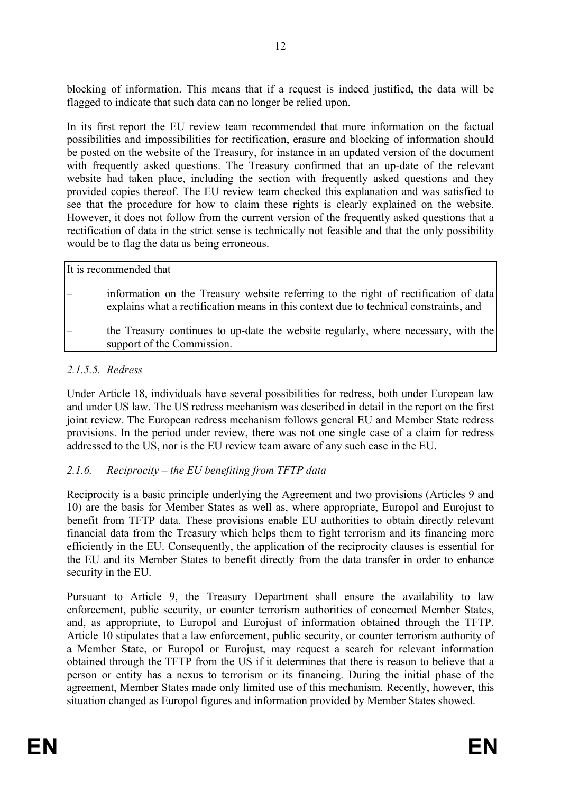blocking of information. This means that if a request is indeed justified, the data will be flagged to indicate that such data can no longer be relied upon.

In its first report the EU review team recommended that more information on the factual possibilities and impossibilities for rectification, erasure and blocking of information should be posted on the website of the Treasury, for instance in an updated version of the document with frequently asked questions. The Treasury confirmed that an up-date of the relevant website had taken place, including the section with frequently asked questions and they provided copies thereof. The EU review team checked this explanation and was satisfied to see that the procedure for how to claim these rights is clearly explained on the website. However, it does not follow from the current version of the frequently asked questions that a rectification of data in the strict sense is technically not feasible and that the only possibility would be to flag the data as being erroneous.

| It is recommended that                                                                                                                                                       |
|------------------------------------------------------------------------------------------------------------------------------------------------------------------------------|
| information on the Treasury website referring to the right of rectification of data<br>explains what a rectification means in this context due to technical constraints, and |
| the Treasury continues to up-date the website regularly, where necessary, with the<br>support of the Commission.                                                             |

### *2.1.5.5. Redress*

Under Article 18, individuals have several possibilities for redress, both under European law and under US law. The US redress mechanism was described in detail in the report on the first joint review. The European redress mechanism follows general EU and Member State redress provisions. In the period under review, there was not one single case of a claim for redress addressed to the US, nor is the EU review team aware of any such case in the EU.

### *2.1.6. Reciprocity – the EU benefiting from TFTP data*

Reciprocity is a basic principle underlying the Agreement and two provisions (Articles 9 and 10) are the basis for Member States as well as, where appropriate, Europol and Eurojust to benefit from TFTP data. These provisions enable EU authorities to obtain directly relevant financial data from the Treasury which helps them to fight terrorism and its financing more efficiently in the EU. Consequently, the application of the reciprocity clauses is essential for the EU and its Member States to benefit directly from the data transfer in order to enhance security in the EU.

Pursuant to Article 9, the Treasury Department shall ensure the availability to law enforcement, public security, or counter terrorism authorities of concerned Member States, and, as appropriate, to Europol and Eurojust of information obtained through the TFTP. Article 10 stipulates that a law enforcement, public security, or counter terrorism authority of a Member State, or Europol or Eurojust, may request a search for relevant information obtained through the TFTP from the US if it determines that there is reason to believe that a person or entity has a nexus to terrorism or its financing. During the initial phase of the agreement, Member States made only limited use of this mechanism. Recently, however, this situation changed as Europol figures and information provided by Member States showed.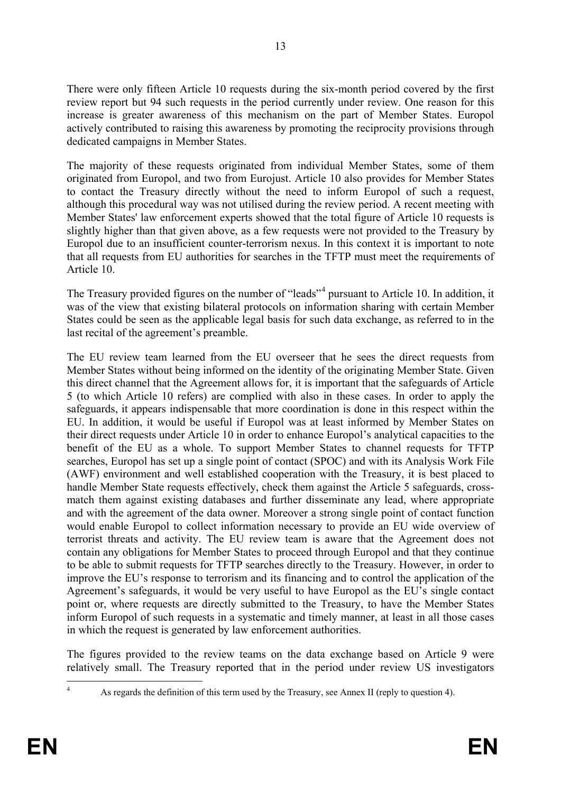There were only fifteen Article 10 requests during the six-month period covered by the first review report but 94 such requests in the period currently under review. One reason for this increase is greater awareness of this mechanism on the part of Member States. Europol actively contributed to raising this awareness by promoting the reciprocity provisions through dedicated campaigns in Member States.

The majority of these requests originated from individual Member States, some of them originated from Europol, and two from Eurojust. Article 10 also provides for Member States to contact the Treasury directly without the need to inform Europol of such a request, although this procedural way was not utilised during the review period. A recent meeting with Member States' law enforcement experts showed that the total figure of Article 10 requests is slightly higher than that given above, as a few requests were not provided to the Treasury by Europol due to an insufficient counter-terrorism nexus. In this context it is important to note that all requests from EU authorities for searches in the TFTP must meet the requirements of Article 10.

The Treasury provided figures on the number of "leads"<sup>[4](#page-14-0)</sup> pursuant to Article 10. In addition, it was of the view that existing bilateral protocols on information sharing with certain Member States could be seen as the applicable legal basis for such data exchange, as referred to in the last recital of the agreement's preamble.

The EU review team learned from the EU overseer that he sees the direct requests from Member States without being informed on the identity of the originating Member State. Given this direct channel that the Agreement allows for, it is important that the safeguards of Article 5 (to which Article 10 refers) are complied with also in these cases. In order to apply the safeguards, it appears indispensable that more coordination is done in this respect within the EU. In addition, it would be useful if Europol was at least informed by Member States on their direct requests under Article 10 in order to enhance Europol's analytical capacities to the benefit of the EU as a whole. To support Member States to channel requests for TFTP searches, Europol has set up a single point of contact (SPOC) and with its Analysis Work File (AWF) environment and well established cooperation with the Treasury, it is best placed to handle Member State requests effectively, check them against the Article 5 safeguards, crossmatch them against existing databases and further disseminate any lead, where appropriate and with the agreement of the data owner. Moreover a strong single point of contact function would enable Europol to collect information necessary to provide an EU wide overview of terrorist threats and activity. The EU review team is aware that the Agreement does not contain any obligations for Member States to proceed through Europol and that they continue to be able to submit requests for TFTP searches directly to the Treasury. However, in order to improve the EU's response to terrorism and its financing and to control the application of the Agreement's safeguards, it would be very useful to have Europol as the EU's single contact point or, where requests are directly submitted to the Treasury, to have the Member States inform Europol of such requests in a systematic and timely manner, at least in all those cases in which the request is generated by law enforcement authorities.

The figures provided to the review teams on the data exchange based on Article 9 were relatively small. The Treasury reported that in the period under review US investigators

<span id="page-14-0"></span><sup>&</sup>lt;sup>4</sup> As regards the definition of this term used by the Treasury, see Annex II (reply to question 4).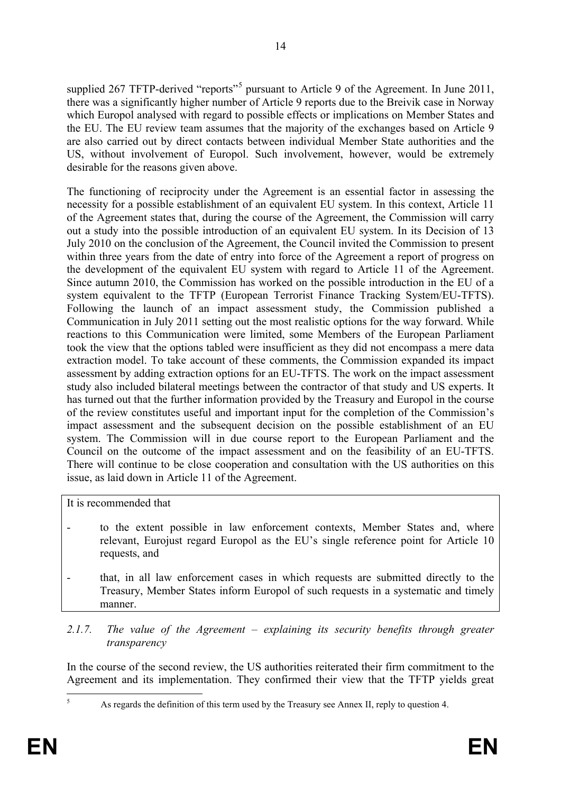supplied 267 TFTP-derived "reports"<sup>[5](#page-15-0)</sup> pursuant to Article 9 of the Agreement. In June 2011, there was a significantly higher number of Article 9 reports due to the Breivik case in Norway which Europol analysed with regard to possible effects or implications on Member States and the EU. The EU review team assumes that the majority of the exchanges based on Article 9 are also carried out by direct contacts between individual Member State authorities and the US, without involvement of Europol. Such involvement, however, would be extremely desirable for the reasons given above.

The functioning of reciprocity under the Agreement is an essential factor in assessing the necessity for a possible establishment of an equivalent EU system. In this context, Article 11 of the Agreement states that, during the course of the Agreement, the Commission will carry out a study into the possible introduction of an equivalent EU system. In its Decision of 13 July 2010 on the conclusion of the Agreement, the Council invited the Commission to present within three years from the date of entry into force of the Agreement a report of progress on the development of the equivalent EU system with regard to Article 11 of the Agreement. Since autumn 2010, the Commission has worked on the possible introduction in the EU of a system equivalent to the TFTP (European Terrorist Finance Tracking System/EU-TFTS). Following the launch of an impact assessment study, the Commission published a Communication in July 2011 setting out the most realistic options for the way forward. While reactions to this Communication were limited, some Members of the European Parliament took the view that the options tabled were insufficient as they did not encompass a mere data extraction model. To take account of these comments, the Commission expanded its impact assessment by adding extraction options for an EU-TFTS. The work on the impact assessment study also included bilateral meetings between the contractor of that study and US experts. It has turned out that the further information provided by the Treasury and Europol in the course of the review constitutes useful and important input for the completion of the Commission's impact assessment and the subsequent decision on the possible establishment of an EU system. The Commission will in due course report to the European Parliament and the Council on the outcome of the impact assessment and on the feasibility of an EU-TFTS. There will continue to be close cooperation and consultation with the US authorities on this issue, as laid down in Article 11 of the Agreement.

It is recommended that

- to the extent possible in law enforcement contexts, Member States and, where relevant, Eurojust regard Europol as the EU's single reference point for Article 10 requests, and
- that, in all law enforcement cases in which requests are submitted directly to the Treasury, Member States inform Europol of such requests in a systematic and timely manner.
- *2.1.7. The value of the Agreement – explaining its security benefits through greater transparency*

In the course of the second review, the US authorities reiterated their firm commitment to the Agreement and its implementation. They confirmed their view that the TFTP yields great

<span id="page-15-0"></span><sup>&</sup>lt;sup>5</sup> As regards the definition of this term used by the Treasury see Annex II, reply to question 4.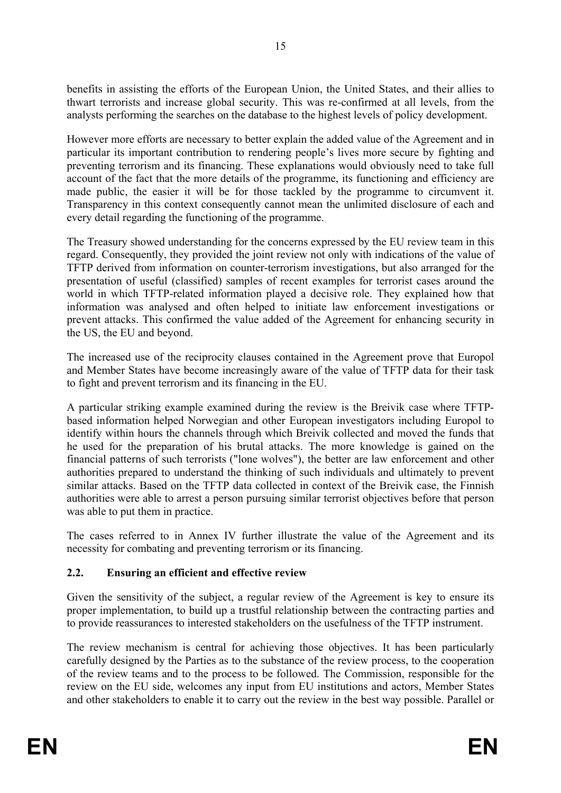benefits in assisting the efforts of the European Union, the United States, and their allies to thwart terrorists and increase global security. This was re-confirmed at all levels, from the analysts performing the searches on the database to the highest levels of policy development.

However more efforts are necessary to better explain the added value of the Agreement and in particular its important contribution to rendering people's lives more secure by fighting and preventing terrorism and its financing. These explanations would obviously need to take full account of the fact that the more details of the programme, its functioning and efficiency are made public, the easier it will be for those tackled by the programme to circumvent it. Transparency in this context consequently cannot mean the unlimited disclosure of each and every detail regarding the functioning of the programme.

The Treasury showed understanding for the concerns expressed by the EU review team in this regard. Consequently, they provided the joint review not only with indications of the value of TFTP derived from information on counter-terrorism investigations, but also arranged for the presentation of useful (classified) samples of recent examples for terrorist cases around the world in which TFTP-related information played a decisive role. They explained how that information was analysed and often helped to initiate law enforcement investigations or prevent attacks. This confirmed the value added of the Agreement for enhancing security in the US, the EU and beyond.

The increased use of the reciprocity clauses contained in the Agreement prove that Europol and Member States have become increasingly aware of the value of TFTP data for their task to fight and prevent terrorism and its financing in the EU.

A particular striking example examined during the review is the Breivik case where TFTPbased information helped Norwegian and other European investigators including Europol to identify within hours the channels through which Breivik collected and moved the funds that he used for the preparation of his brutal attacks. The more knowledge is gained on the financial patterns of such terrorists ("lone wolves"), the better are law enforcement and other authorities prepared to understand the thinking of such individuals and ultimately to prevent similar attacks. Based on the TFTP data collected in context of the Breivik case, the Finnish authorities were able to arrest a person pursuing similar terrorist objectives before that person was able to put them in practice.

The cases referred to in Annex IV further illustrate the value of the Agreement and its necessity for combating and preventing terrorism or its financing.

### **2.2. Ensuring an efficient and effective review**

Given the sensitivity of the subject, a regular review of the Agreement is key to ensure its proper implementation, to build up a trustful relationship between the contracting parties and to provide reassurances to interested stakeholders on the usefulness of the TFTP instrument.

The review mechanism is central for achieving those objectives. It has been particularly carefully designed by the Parties as to the substance of the review process, to the cooperation of the review teams and to the process to be followed. The Commission, responsible for the review on the EU side, welcomes any input from EU institutions and actors, Member States and other stakeholders to enable it to carry out the review in the best way possible. Parallel or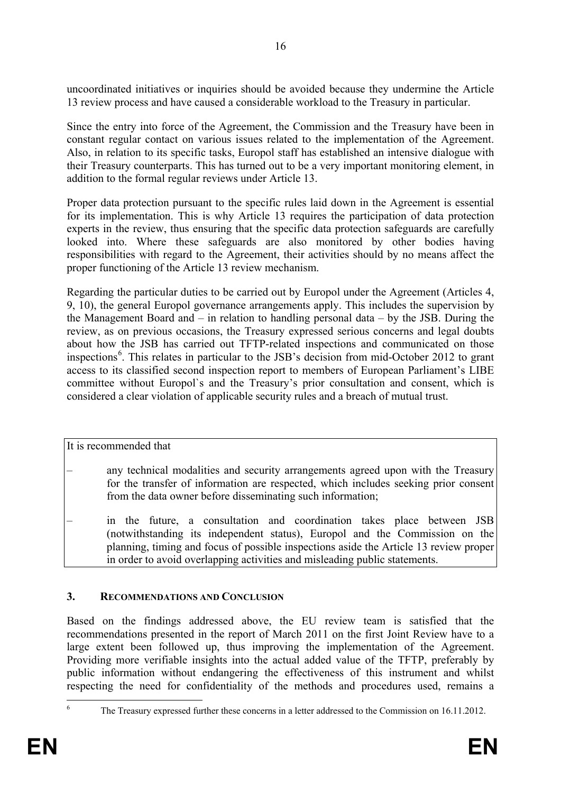uncoordinated initiatives or inquiries should be avoided because they undermine the Article 13 review process and have caused a considerable workload to the Treasury in particular.

Since the entry into force of the Agreement, the Commission and the Treasury have been in constant regular contact on various issues related to the implementation of the Agreement. Also, in relation to its specific tasks, Europol staff has established an intensive dialogue with their Treasury counterparts. This has turned out to be a very important monitoring element, in addition to the formal regular reviews under Article 13.

Proper data protection pursuant to the specific rules laid down in the Agreement is essential for its implementation. This is why Article 13 requires the participation of data protection experts in the review, thus ensuring that the specific data protection safeguards are carefully looked into. Where these safeguards are also monitored by other bodies having responsibilities with regard to the Agreement, their activities should by no means affect the proper functioning of the Article 13 review mechanism.

Regarding the particular duties to be carried out by Europol under the Agreement (Articles 4, 9, 10), the general Europol governance arrangements apply. This includes the supervision by the Management Board and – in relation to handling personal data – by the JSB. During the review, as on previous occasions, the Treasury expressed serious concerns and legal doubts about how the JSB has carried out TFTP-related inspections and communicated on those inspections [6](#page-17-0) . This relates in particular to the JSB's decision from mid-October 2012 to grant access to its classified second inspection report to members of European Parliament's LIBE committee without Europol`s and the Treasury's prior consultation and consent, which is considered a clear violation of applicable security rules and a breach of mutual trust.

It is recommended that

- any technical modalities and security arrangements agreed upon with the Treasury for the transfer of information are respected, which includes seeking prior consent from the data owner before disseminating such information;
- in the future, a consultation and coordination takes place between JSB (notwithstanding its independent status), Europol and the Commission on the planning, timing and focus of possible inspections aside the Article 13 review proper in order to avoid overlapping activities and misleading public statements.

#### **3. RECOMMENDATIONS AND CONCLUSION**

Based on the findings addressed above, the EU review team is satisfied that the recommendations presented in the report of March 2011 on the first Joint Review have to a large extent been followed up, thus improving the implementation of the Agreement. Providing more verifiable insights into the actual added value of the TFTP, preferably by public information without endangering the effectiveness of this instrument and whilst respecting the need for confidentiality of the methods and procedures used, remains a

<span id="page-17-0"></span>The Treasury expressed further these concerns in a letter addressed to the Commission on 16.11.2012.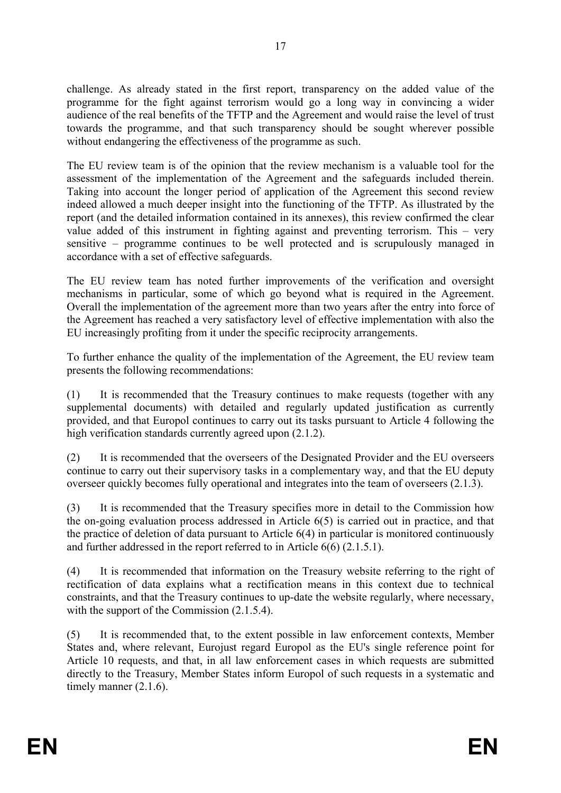challenge. As already stated in the first report, transparency on the added value of the programme for the fight against terrorism would go a long way in convincing a wider audience of the real benefits of the TFTP and the Agreement and would raise the level of trust towards the programme, and that such transparency should be sought wherever possible without endangering the effectiveness of the programme as such.

The EU review team is of the opinion that the review mechanism is a valuable tool for the assessment of the implementation of the Agreement and the safeguards included therein. Taking into account the longer period of application of the Agreement this second review indeed allowed a much deeper insight into the functioning of the TFTP. As illustrated by the report (and the detailed information contained in its annexes), this review confirmed the clear value added of this instrument in fighting against and preventing terrorism. This – very sensitive – programme continues to be well protected and is scrupulously managed in accordance with a set of effective safeguards.

The EU review team has noted further improvements of the verification and oversight mechanisms in particular, some of which go beyond what is required in the Agreement. Overall the implementation of the agreement more than two years after the entry into force of the Agreement has reached a very satisfactory level of effective implementation with also the EU increasingly profiting from it under the specific reciprocity arrangements.

To further enhance the quality of the implementation of the Agreement, the EU review team presents the following recommendations:

(1) It is recommended that the Treasury continues to make requests (together with any supplemental documents) with detailed and regularly updated justification as currently provided, and that Europol continues to carry out its tasks pursuant to Article 4 following the high verification standards currently agreed upon  $(2.1.2)$ .

(2) It is recommended that the overseers of the Designated Provider and the EU overseers continue to carry out their supervisory tasks in a complementary way, and that the EU deputy overseer quickly becomes fully operational and integrates into the team of overseers (2.1.3).

(3) It is recommended that the Treasury specifies more in detail to the Commission how the on-going evaluation process addressed in Article 6(5) is carried out in practice, and that the practice of deletion of data pursuant to Article 6(4) in particular is monitored continuously and further addressed in the report referred to in Article 6(6) (2.1.5.1).

(4) It is recommended that information on the Treasury website referring to the right of rectification of data explains what a rectification means in this context due to technical constraints, and that the Treasury continues to up-date the website regularly, where necessary, with the support of the Commission  $(2.1.5.4)$ .

(5) It is recommended that, to the extent possible in law enforcement contexts, Member States and, where relevant, Eurojust regard Europol as the EU's single reference point for Article 10 requests, and that, in all law enforcement cases in which requests are submitted directly to the Treasury, Member States inform Europol of such requests in a systematic and timely manner (2.1.6).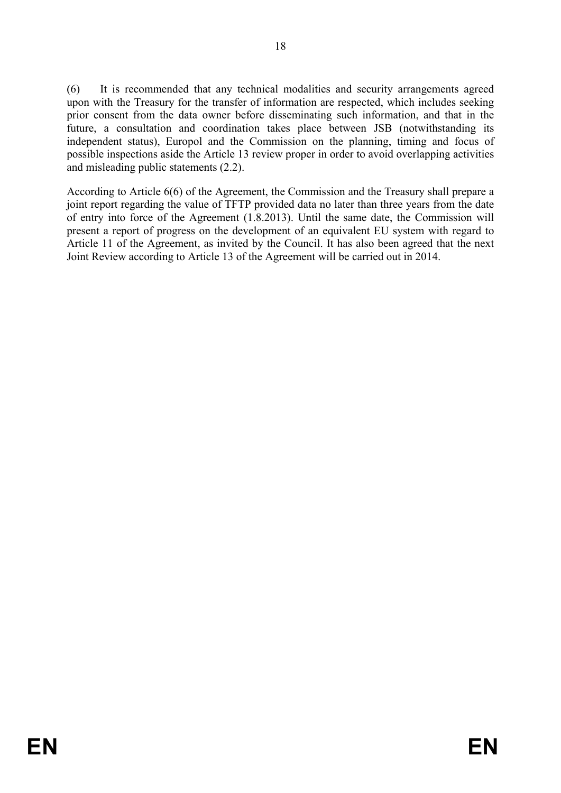(6) It is recommended that any technical modalities and security arrangements agreed upon with the Treasury for the transfer of information are respected, which includes seeking prior consent from the data owner before disseminating such information, and that in the future, a consultation and coordination takes place between JSB (notwithstanding its independent status), Europol and the Commission on the planning, timing and focus of possible inspections aside the Article 13 review proper in order to avoid overlapping activities and misleading public statements (2.2).

According to Article 6(6) of the Agreement, the Commission and the Treasury shall prepare a joint report regarding the value of TFTP provided data no later than three years from the date of entry into force of the Agreement (1.8.2013). Until the same date, the Commission will present a report of progress on the development of an equivalent EU system with regard to Article 11 of the Agreement, as invited by the Council. It has also been agreed that the next Joint Review according to Article 13 of the Agreement will be carried out in 2014.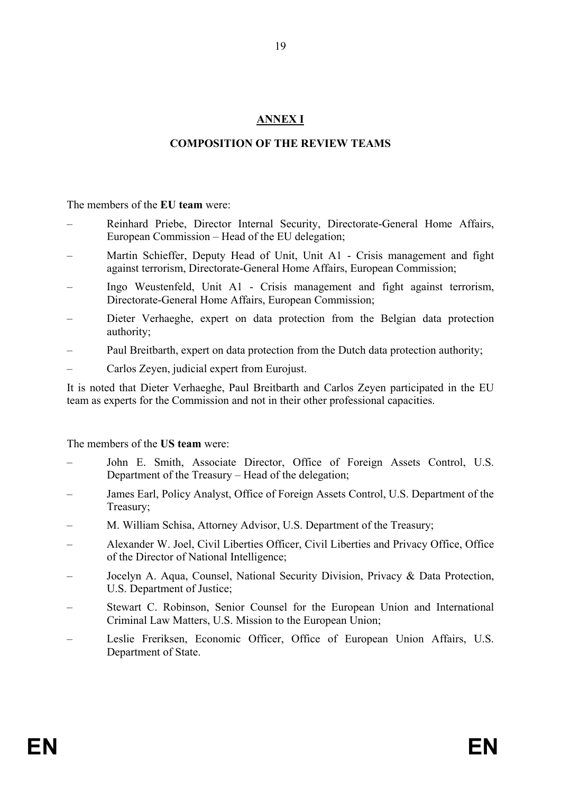## **ANNEX I**

## **COMPOSITION OF THE REVIEW TEAMS**

The members of the **EU team** were:

- Reinhard Priebe, Director Internal Security, Directorate-General Home Affairs, European Commission – Head of the EU delegation;
- Martin Schieffer, Deputy Head of Unit, Unit A1 Crisis management and fight against terrorism, Directorate-General Home Affairs, European Commission;
- Ingo Weustenfeld, Unit A1 Crisis management and fight against terrorism, Directorate-General Home Affairs, European Commission;
- Dieter Verhaeghe, expert on data protection from the Belgian data protection authority;
- Paul Breitbarth, expert on data protection from the Dutch data protection authority;
- Carlos Zeyen, judicial expert from Eurojust.

It is noted that Dieter Verhaeghe, Paul Breitbarth and Carlos Zeyen participated in the EU team as experts for the Commission and not in their other professional capacities.

The members of the **US team** were:

- John E. Smith, Associate Director, Office of Foreign Assets Control, U.S. Department of the Treasury – Head of the delegation;
- James Earl, Policy Analyst, Office of Foreign Assets Control, U.S. Department of the Treasury;
- M. William Schisa, Attorney Advisor, U.S. Department of the Treasury;
- Alexander W. Joel, Civil Liberties Officer, Civil Liberties and Privacy Office, Office of the Director of National Intelligence;
- Jocelyn A. Aqua, Counsel, National Security Division, Privacy & Data Protection, U.S. Department of Justice;
- Stewart C. Robinson, Senior Counsel for the European Union and International Criminal Law Matters, U.S. Mission to the European Union;
- Leslie Freriksen, Economic Officer, Office of European Union Affairs, U.S. Department of State.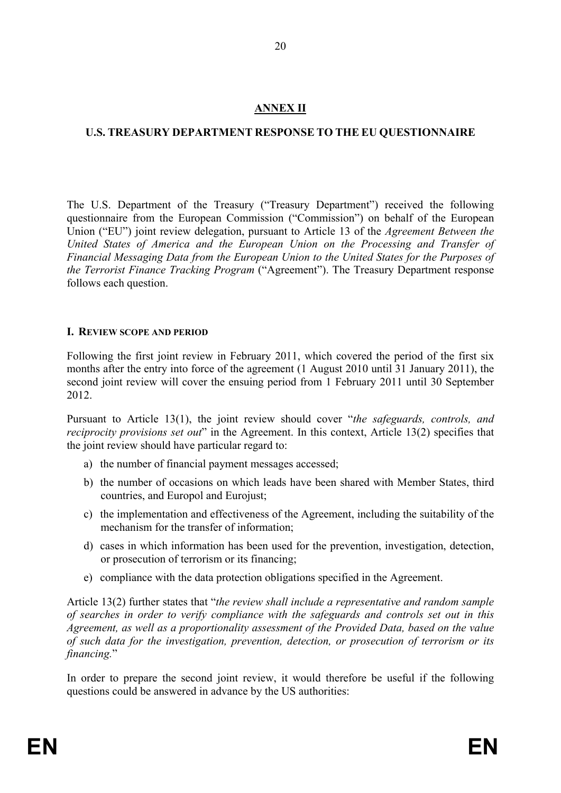### **ANNEX II**

### **U.S. TREASURY DEPARTMENT RESPONSE TO THE EU QUESTIONNAIRE**

The U.S. Department of the Treasury ("Treasury Department") received the following questionnaire from the European Commission ("Commission") on behalf of the European Union ("EU") joint review delegation, pursuant to Article 13 of the *Agreement Between the United States of America and the European Union on the Processing and Transfer of Financial Messaging Data from the European Union to the United States for the Purposes of the Terrorist Finance Tracking Program* ("Agreement"). The Treasury Department response follows each question.

### **I. REVIEW SCOPE AND PERIOD**

Following the first joint review in February 2011, which covered the period of the first six months after the entry into force of the agreement (1 August 2010 until 31 January 2011), the second joint review will cover the ensuing period from 1 February 2011 until 30 September 2012.

Pursuant to Article 13(1), the joint review should cover "*the safeguards, controls, and reciprocity provisions set out*" in the Agreement. In this context, Article 13(2) specifies that the joint review should have particular regard to:

- a) the number of financial payment messages accessed;
- b) the number of occasions on which leads have been shared with Member States, third countries, and Europol and Eurojust;
- c) the implementation and effectiveness of the Agreement, including the suitability of the mechanism for the transfer of information;
- d) cases in which information has been used for the prevention, investigation, detection, or prosecution of terrorism or its financing;
- e) compliance with the data protection obligations specified in the Agreement.

Article 13(2) further states that "*the review shall include a representative and random sample of searches in order to verify compliance with the safeguards and controls set out in this Agreement, as well as a proportionality assessment of the Provided Data, based on the value of such data for the investigation, prevention, detection, or prosecution of terrorism or its financing.*"

In order to prepare the second joint review, it would therefore be useful if the following questions could be answered in advance by the US authorities: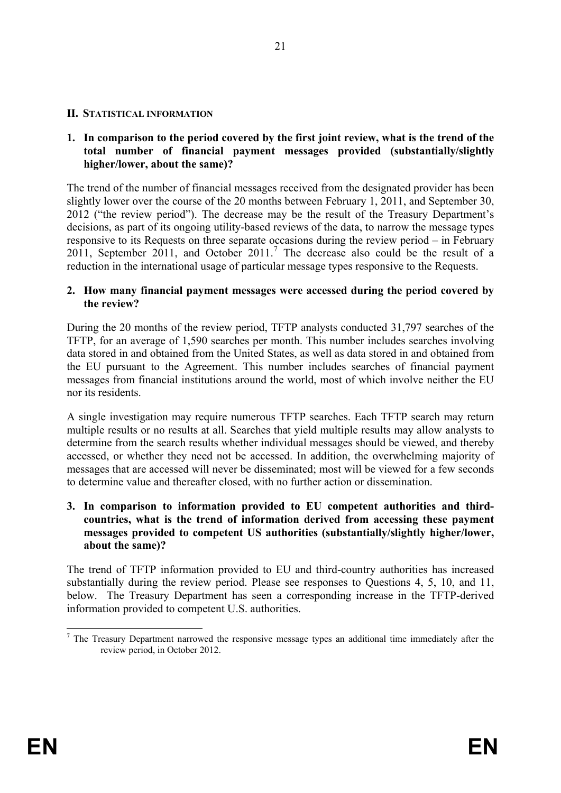#### **II. STATISTICAL INFORMATION**

#### **1. In comparison to the period covered by the first joint review, what is the trend of the total number of financial payment messages provided (substantially/slightly higher/lower, about the same)?**

The trend of the number of financial messages received from the designated provider has been slightly lower over the course of the 20 months between February 1, 2011, and September 30, 2012 ("the review period"). The decrease may be the result of the Treasury Department's decisions, as part of its ongoing utility-based reviews of the data, to narrow the message types responsive to its Requests on three separate occasions during the review period – in February 2011, September 2011, and October  $2011$ .<sup>[7](#page-22-0)</sup> The decrease also could be the result of a reduction in the international usage of particular message types responsive to the Requests.

#### **2. How many financial payment messages were accessed during the period covered by the review?**

During the 20 months of the review period, TFTP analysts conducted 31,797 searches of the TFTP, for an average of 1,590 searches per month. This number includes searches involving data stored in and obtained from the United States, as well as data stored in and obtained from the EU pursuant to the Agreement. This number includes searches of financial payment messages from financial institutions around the world, most of which involve neither the EU nor its residents.

A single investigation may require numerous TFTP searches. Each TFTP search may return multiple results or no results at all. Searches that yield multiple results may allow analysts to determine from the search results whether individual messages should be viewed, and thereby accessed, or whether they need not be accessed. In addition, the overwhelming majority of messages that are accessed will never be disseminated; most will be viewed for a few seconds to determine value and thereafter closed, with no further action or dissemination.

#### **3. In comparison to information provided to EU competent authorities and thirdcountries, what is the trend of information derived from accessing these payment messages provided to competent US authorities (substantially/slightly higher/lower, about the same)?**

The trend of TFTP information provided to EU and third-country authorities has increased substantially during the review period. Please see responses to Questions 4, 5, 10, and 11, below. The Treasury Department has seen a corresponding increase in the TFTP-derived information provided to competent U.S. authorities.

<span id="page-22-0"></span> <sup>7</sup> The Treasury Department narrowed the responsive message types an additional time immediately after the review period, in October 2012.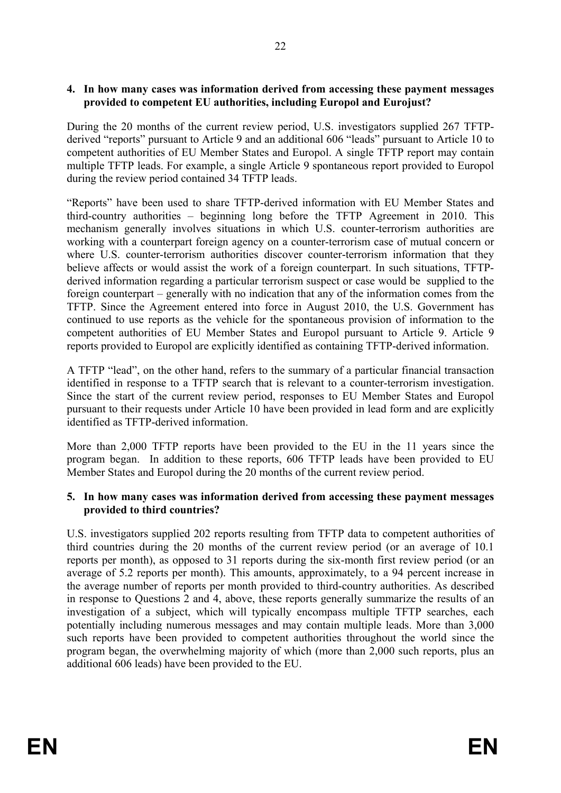#### **4. In how many cases was information derived from accessing these payment messages provided to competent EU authorities, including Europol and Eurojust?**

During the 20 months of the current review period, U.S. investigators supplied 267 TFTPderived "reports" pursuant to Article 9 and an additional 606 "leads" pursuant to Article 10 to competent authorities of EU Member States and Europol. A single TFTP report may contain multiple TFTP leads. For example, a single Article 9 spontaneous report provided to Europol during the review period contained 34 TFTP leads.

"Reports" have been used to share TFTP-derived information with EU Member States and third-country authorities – beginning long before the TFTP Agreement in 2010. This mechanism generally involves situations in which U.S. counter-terrorism authorities are working with a counterpart foreign agency on a counter-terrorism case of mutual concern or where U.S. counter-terrorism authorities discover counter-terrorism information that they believe affects or would assist the work of a foreign counterpart. In such situations, TFTPderived information regarding a particular terrorism suspect or case would be supplied to the foreign counterpart – generally with no indication that any of the information comes from the TFTP. Since the Agreement entered into force in August 2010, the U.S. Government has continued to use reports as the vehicle for the spontaneous provision of information to the competent authorities of EU Member States and Europol pursuant to Article 9. Article 9 reports provided to Europol are explicitly identified as containing TFTP-derived information.

A TFTP "lead", on the other hand, refers to the summary of a particular financial transaction identified in response to a TFTP search that is relevant to a counter-terrorism investigation. Since the start of the current review period, responses to EU Member States and Europol pursuant to their requests under Article 10 have been provided in lead form and are explicitly identified as TFTP-derived information.

More than 2,000 TFTP reports have been provided to the EU in the 11 years since the program began. In addition to these reports, 606 TFTP leads have been provided to EU Member States and Europol during the 20 months of the current review period.

#### **5. In how many cases was information derived from accessing these payment messages provided to third countries?**

U.S. investigators supplied 202 reports resulting from TFTP data to competent authorities of third countries during the 20 months of the current review period (or an average of 10.1 reports per month), as opposed to 31 reports during the six-month first review period (or an average of 5.2 reports per month). This amounts, approximately, to a 94 percent increase in the average number of reports per month provided to third-country authorities. As described in response to Questions 2 and 4, above, these reports generally summarize the results of an investigation of a subject, which will typically encompass multiple TFTP searches, each potentially including numerous messages and may contain multiple leads. More than 3,000 such reports have been provided to competent authorities throughout the world since the program began, the overwhelming majority of which (more than 2,000 such reports, plus an additional 606 leads) have been provided to the EU.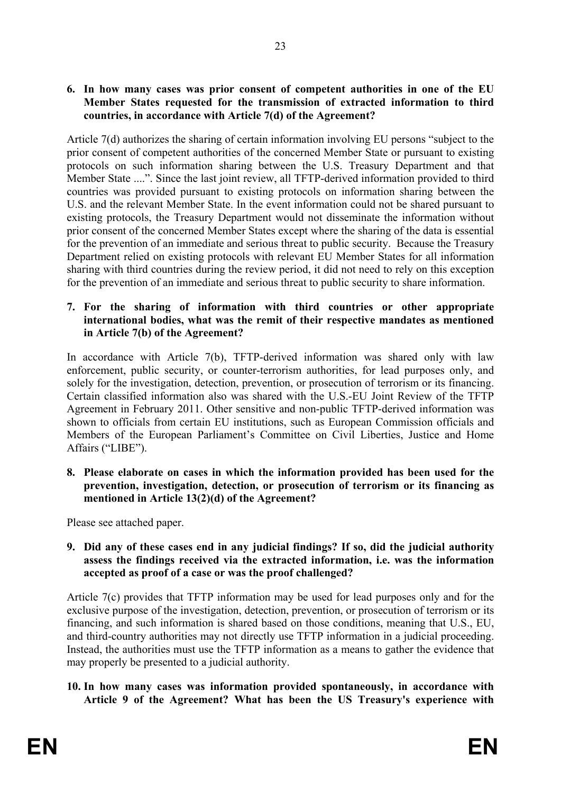**6. In how many cases was prior consent of competent authorities in one of the EU Member States requested for the transmission of extracted information to third countries, in accordance with Article 7(d) of the Agreement?**

Article 7(d) authorizes the sharing of certain information involving EU persons "subject to the prior consent of competent authorities of the concerned Member State or pursuant to existing protocols on such information sharing between the U.S. Treasury Department and that Member State ....". Since the last joint review, all TFTP-derived information provided to third countries was provided pursuant to existing protocols on information sharing between the U.S. and the relevant Member State. In the event information could not be shared pursuant to existing protocols, the Treasury Department would not disseminate the information without prior consent of the concerned Member States except where the sharing of the data is essential for the prevention of an immediate and serious threat to public security. Because the Treasury Department relied on existing protocols with relevant EU Member States for all information sharing with third countries during the review period, it did not need to rely on this exception for the prevention of an immediate and serious threat to public security to share information.

#### **7. For the sharing of information with third countries or other appropriate international bodies, what was the remit of their respective mandates as mentioned in Article 7(b) of the Agreement?**

In accordance with Article 7(b), TFTP-derived information was shared only with law enforcement, public security, or counter-terrorism authorities, for lead purposes only, and solely for the investigation, detection, prevention, or prosecution of terrorism or its financing. Certain classified information also was shared with the U.S.-EU Joint Review of the TFTP Agreement in February 2011. Other sensitive and non-public TFTP-derived information was shown to officials from certain EU institutions, such as European Commission officials and Members of the European Parliament's Committee on Civil Liberties, Justice and Home Affairs ("LIBE").

**8. Please elaborate on cases in which the information provided has been used for the prevention, investigation, detection, or prosecution of terrorism or its financing as mentioned in Article 13(2)(d) of the Agreement?**

Please see attached paper.

**9. Did any of these cases end in any judicial findings? If so, did the judicial authority assess the findings received via the extracted information, i.e. was the information accepted as proof of a case or was the proof challenged?**

Article 7(c) provides that TFTP information may be used for lead purposes only and for the exclusive purpose of the investigation, detection, prevention, or prosecution of terrorism or its financing, and such information is shared based on those conditions, meaning that U.S., EU, and third-country authorities may not directly use TFTP information in a judicial proceeding. Instead, the authorities must use the TFTP information as a means to gather the evidence that may properly be presented to a judicial authority.

### **10. In how many cases was information provided spontaneously, in accordance with Article 9 of the Agreement? What has been the US Treasury's experience with**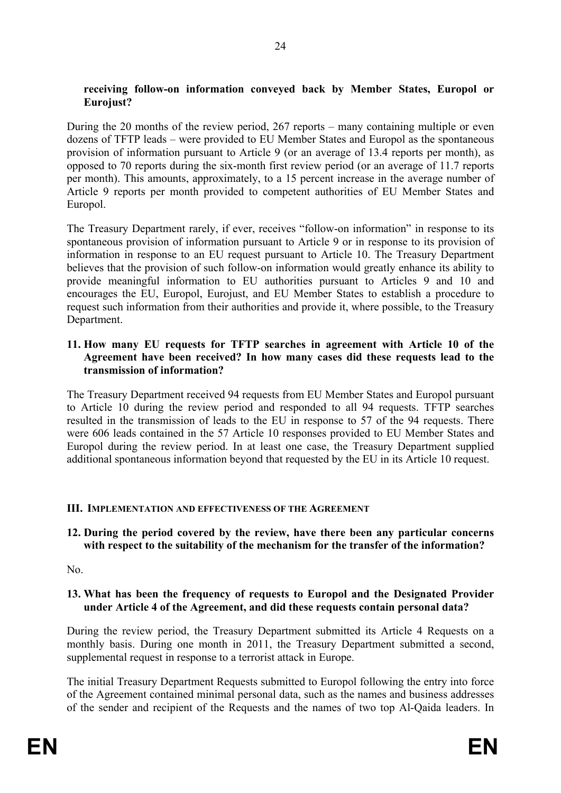#### **receiving follow-on information conveyed back by Member States, Europol or Eurojust?**

During the 20 months of the review period, 267 reports – many containing multiple or even dozens of TFTP leads – were provided to EU Member States and Europol as the spontaneous provision of information pursuant to Article 9 (or an average of 13.4 reports per month), as opposed to 70 reports during the six-month first review period (or an average of 11.7 reports per month). This amounts, approximately, to a 15 percent increase in the average number of Article 9 reports per month provided to competent authorities of EU Member States and Europol.

The Treasury Department rarely, if ever, receives "follow-on information" in response to its spontaneous provision of information pursuant to Article 9 or in response to its provision of information in response to an EU request pursuant to Article 10. The Treasury Department believes that the provision of such follow-on information would greatly enhance its ability to provide meaningful information to EU authorities pursuant to Articles 9 and 10 and encourages the EU, Europol, Eurojust, and EU Member States to establish a procedure to request such information from their authorities and provide it, where possible, to the Treasury Department.

#### **11. How many EU requests for TFTP searches in agreement with Article 10 of the Agreement have been received? In how many cases did these requests lead to the transmission of information?**

The Treasury Department received 94 requests from EU Member States and Europol pursuant to Article 10 during the review period and responded to all 94 requests. TFTP searches resulted in the transmission of leads to the EU in response to 57 of the 94 requests. There were 606 leads contained in the 57 Article 10 responses provided to EU Member States and Europol during the review period. In at least one case, the Treasury Department supplied additional spontaneous information beyond that requested by the EU in its Article 10 request.

#### **III. IMPLEMENTATION AND EFFECTIVENESS OF THE AGREEMENT**

**12. During the period covered by the review, have there been any particular concerns with respect to the suitability of the mechanism for the transfer of the information?**

No.

#### **13. What has been the frequency of requests to Europol and the Designated Provider under Article 4 of the Agreement, and did these requests contain personal data?**

During the review period, the Treasury Department submitted its Article 4 Requests on a monthly basis. During one month in 2011, the Treasury Department submitted a second, supplemental request in response to a terrorist attack in Europe.

The initial Treasury Department Requests submitted to Europol following the entry into force of the Agreement contained minimal personal data, such as the names and business addresses of the sender and recipient of the Requests and the names of two top Al-Qaida leaders. In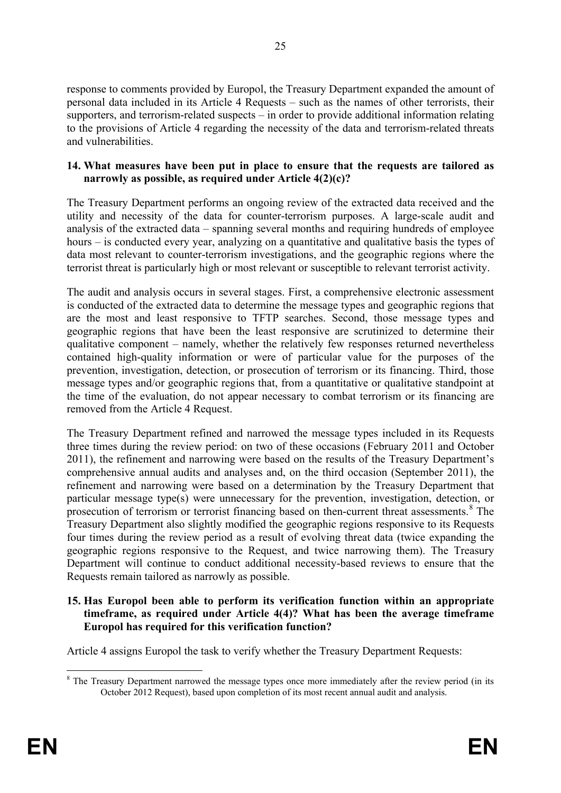response to comments provided by Europol, the Treasury Department expanded the amount of personal data included in its Article 4 Requests – such as the names of other terrorists, their supporters, and terrorism-related suspects – in order to provide additional information relating to the provisions of Article 4 regarding the necessity of the data and terrorism-related threats and vulnerabilities.

#### **14. What measures have been put in place to ensure that the requests are tailored as narrowly as possible, as required under Article 4(2)(c)?**

The Treasury Department performs an ongoing review of the extracted data received and the utility and necessity of the data for counter-terrorism purposes. A large-scale audit and analysis of the extracted data – spanning several months and requiring hundreds of employee hours – is conducted every year, analyzing on a quantitative and qualitative basis the types of data most relevant to counter-terrorism investigations, and the geographic regions where the terrorist threat is particularly high or most relevant or susceptible to relevant terrorist activity.

The audit and analysis occurs in several stages. First, a comprehensive electronic assessment is conducted of the extracted data to determine the message types and geographic regions that are the most and least responsive to TFTP searches. Second, those message types and geographic regions that have been the least responsive are scrutinized to determine their qualitative component – namely, whether the relatively few responses returned nevertheless contained high-quality information or were of particular value for the purposes of the prevention, investigation, detection, or prosecution of terrorism or its financing. Third, those message types and/or geographic regions that, from a quantitative or qualitative standpoint at the time of the evaluation, do not appear necessary to combat terrorism or its financing are removed from the Article 4 Request.

The Treasury Department refined and narrowed the message types included in its Requests three times during the review period: on two of these occasions (February 2011 and October 2011), the refinement and narrowing were based on the results of the Treasury Department's comprehensive annual audits and analyses and, on the third occasion (September 2011), the refinement and narrowing were based on a determination by the Treasury Department that particular message type(s) were unnecessary for the prevention, investigation, detection, or prosecution of terrorism or terrorist financing based on then-current threat assessments.<sup>[8](#page-26-0)</sup> The Treasury Department also slightly modified the geographic regions responsive to its Requests four times during the review period as a result of evolving threat data (twice expanding the geographic regions responsive to the Request, and twice narrowing them). The Treasury Department will continue to conduct additional necessity-based reviews to ensure that the Requests remain tailored as narrowly as possible.

### **15. Has Europol been able to perform its verification function within an appropriate timeframe, as required under Article 4(4)? What has been the average timeframe Europol has required for this verification function?**

Article 4 assigns Europol the task to verify whether the Treasury Department Requests:

<span id="page-26-0"></span><sup>&</sup>lt;sup>8</sup> The Treasury Department narrowed the message types once more immediately after the review period (in its October 2012 Request), based upon completion of its most recent annual audit and analysis.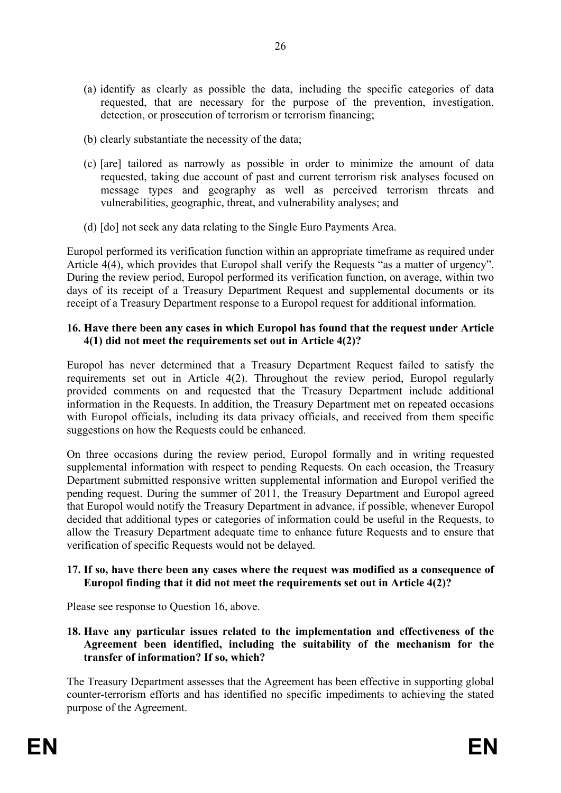- (a) identify as clearly as possible the data, including the specific categories of data requested, that are necessary for the purpose of the prevention, investigation, detection, or prosecution of terrorism or terrorism financing;
- (b) clearly substantiate the necessity of the data;
- (c) [are] tailored as narrowly as possible in order to minimize the amount of data requested, taking due account of past and current terrorism risk analyses focused on message types and geography as well as perceived terrorism threats and vulnerabilities, geographic, threat, and vulnerability analyses; and
- (d) [do] not seek any data relating to the Single Euro Payments Area.

Europol performed its verification function within an appropriate timeframe as required under Article 4(4), which provides that Europol shall verify the Requests "as a matter of urgency". During the review period, Europol performed its verification function, on average, within two days of its receipt of a Treasury Department Request and supplemental documents or its receipt of a Treasury Department response to a Europol request for additional information.

#### **16. Have there been any cases in which Europol has found that the request under Article 4(1) did not meet the requirements set out in Article 4(2)?**

Europol has never determined that a Treasury Department Request failed to satisfy the requirements set out in Article 4(2). Throughout the review period, Europol regularly provided comments on and requested that the Treasury Department include additional information in the Requests. In addition, the Treasury Department met on repeated occasions with Europol officials, including its data privacy officials, and received from them specific suggestions on how the Requests could be enhanced.

On three occasions during the review period, Europol formally and in writing requested supplemental information with respect to pending Requests. On each occasion, the Treasury Department submitted responsive written supplemental information and Europol verified the pending request. During the summer of 2011, the Treasury Department and Europol agreed that Europol would notify the Treasury Department in advance, if possible, whenever Europol decided that additional types or categories of information could be useful in the Requests, to allow the Treasury Department adequate time to enhance future Requests and to ensure that verification of specific Requests would not be delayed.

#### **17. If so, have there been any cases where the request was modified as a consequence of Europol finding that it did not meet the requirements set out in Article 4(2)?**

Please see response to Question 16, above.

**18. Have any particular issues related to the implementation and effectiveness of the Agreement been identified, including the suitability of the mechanism for the transfer of information? If so, which?**

The Treasury Department assesses that the Agreement has been effective in supporting global counter-terrorism efforts and has identified no specific impediments to achieving the stated purpose of the Agreement.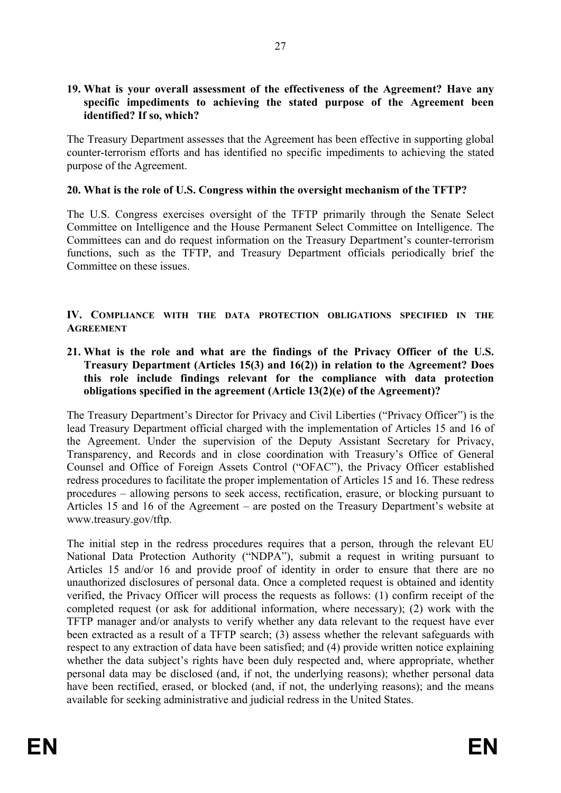#### **19. What is your overall assessment of the effectiveness of the Agreement? Have any specific impediments to achieving the stated purpose of the Agreement been identified? If so, which?**

The Treasury Department assesses that the Agreement has been effective in supporting global counter-terrorism efforts and has identified no specific impediments to achieving the stated purpose of the Agreement.

#### **20. What is the role of U.S. Congress within the oversight mechanism of the TFTP?**

The U.S. Congress exercises oversight of the TFTP primarily through the Senate Select Committee on Intelligence and the House Permanent Select Committee on Intelligence. The Committees can and do request information on the Treasury Department's counter-terrorism functions, such as the TFTP, and Treasury Department officials periodically brief the Committee on these issues.

#### **IV. COMPLIANCE WITH THE DATA PROTECTION OBLIGATIONS SPECIFIED IN THE AGREEMENT**

**21. What is the role and what are the findings of the Privacy Officer of the U.S. Treasury Department (Articles 15(3) and 16(2)) in relation to the Agreement? Does this role include findings relevant for the compliance with data protection obligations specified in the agreement (Article 13(2)(e) of the Agreement)?** 

The Treasury Department's Director for Privacy and Civil Liberties ("Privacy Officer") is the lead Treasury Department official charged with the implementation of Articles 15 and 16 of the Agreement. Under the supervision of the Deputy Assistant Secretary for Privacy, Transparency, and Records and in close coordination with Treasury's Office of General Counsel and Office of Foreign Assets Control ("OFAC"), the Privacy Officer established redress procedures to facilitate the proper implementation of Articles 15 and 16. These redress procedures – allowing persons to seek access, rectification, erasure, or blocking pursuant to Articles 15 and 16 of the Agreement – are posted on the Treasury Department's website at www.treasury.gov/tftp.

The initial step in the redress procedures requires that a person, through the relevant EU National Data Protection Authority ("NDPA"), submit a request in writing pursuant to Articles 15 and/or 16 and provide proof of identity in order to ensure that there are no unauthorized disclosures of personal data. Once a completed request is obtained and identity verified, the Privacy Officer will process the requests as follows: (1) confirm receipt of the completed request (or ask for additional information, where necessary); (2) work with the TFTP manager and/or analysts to verify whether any data relevant to the request have ever been extracted as a result of a TFTP search; (3) assess whether the relevant safeguards with respect to any extraction of data have been satisfied; and (4) provide written notice explaining whether the data subject's rights have been duly respected and, where appropriate, whether personal data may be disclosed (and, if not, the underlying reasons); whether personal data have been rectified, erased, or blocked (and, if not, the underlying reasons); and the means available for seeking administrative and judicial redress in the United States.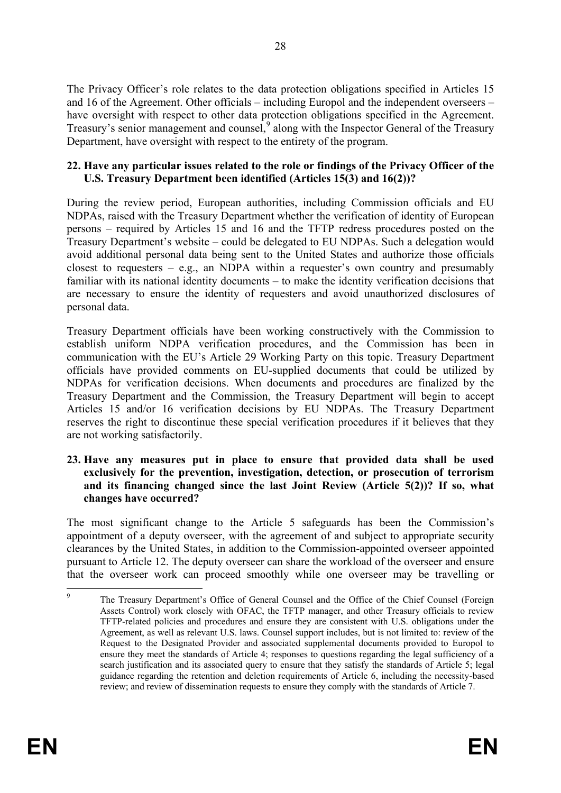The Privacy Officer's role relates to the data protection obligations specified in Articles 15 and 16 of the Agreement. Other officials – including Europol and the independent overseers – have oversight with respect to other data protection obligations specified in the Agreement. Treasury's senior management and counsel,<sup>[9](#page-29-0)</sup> along with the Inspector General of the Treasury Department, have oversight with respect to the entirety of the program.

#### **22. Have any particular issues related to the role or findings of the Privacy Officer of the U.S. Treasury Department been identified (Articles 15(3) and 16(2))?**

During the review period, European authorities, including Commission officials and EU NDPAs, raised with the Treasury Department whether the verification of identity of European persons – required by Articles 15 and 16 and the TFTP redress procedures posted on the Treasury Department's website – could be delegated to EU NDPAs. Such a delegation would avoid additional personal data being sent to the United States and authorize those officials closest to requesters – e.g., an NDPA within a requester's own country and presumably familiar with its national identity documents – to make the identity verification decisions that are necessary to ensure the identity of requesters and avoid unauthorized disclosures of personal data.

Treasury Department officials have been working constructively with the Commission to establish uniform NDPA verification procedures, and the Commission has been in communication with the EU's Article 29 Working Party on this topic. Treasury Department officials have provided comments on EU-supplied documents that could be utilized by NDPAs for verification decisions. When documents and procedures are finalized by the Treasury Department and the Commission, the Treasury Department will begin to accept Articles 15 and/or 16 verification decisions by EU NDPAs. The Treasury Department reserves the right to discontinue these special verification procedures if it believes that they are not working satisfactorily.

#### **23. Have any measures put in place to ensure that provided data shall be used exclusively for the prevention, investigation, detection, or prosecution of terrorism and its financing changed since the last Joint Review (Article 5(2))? If so, what changes have occurred?**

The most significant change to the Article 5 safeguards has been the Commission's appointment of a deputy overseer, with the agreement of and subject to appropriate security clearances by the United States, in addition to the Commission-appointed overseer appointed pursuant to Article 12. The deputy overseer can share the workload of the overseer and ensure that the overseer work can proceed smoothly while one overseer may be travelling or

<span id="page-29-0"></span><sup>&</sup>lt;sup>9</sup> The Treasury Department's Office of General Counsel and the Office of the Chief Counsel (Foreign Assets Control) work closely with OFAC, the TFTP manager, and other Treasury officials to review TFTP-related policies and procedures and ensure they are consistent with U.S. obligations under the Agreement, as well as relevant U.S. laws. Counsel support includes, but is not limited to: review of the Request to the Designated Provider and associated supplemental documents provided to Europol to ensure they meet the standards of Article 4; responses to questions regarding the legal sufficiency of a search justification and its associated query to ensure that they satisfy the standards of Article 5; legal guidance regarding the retention and deletion requirements of Article 6, including the necessity-based review; and review of dissemination requests to ensure they comply with the standards of Article 7.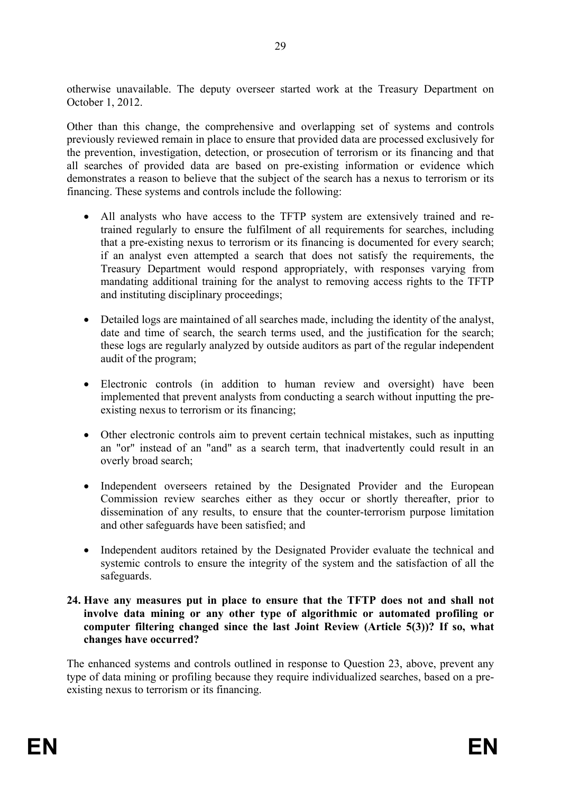otherwise unavailable. The deputy overseer started work at the Treasury Department on October 1, 2012.

Other than this change, the comprehensive and overlapping set of systems and controls previously reviewed remain in place to ensure that provided data are processed exclusively for the prevention, investigation, detection, or prosecution of terrorism or its financing and that all searches of provided data are based on pre-existing information or evidence which demonstrates a reason to believe that the subject of the search has a nexus to terrorism or its financing. These systems and controls include the following:

- All analysts who have access to the TFTP system are extensively trained and retrained regularly to ensure the fulfilment of all requirements for searches, including that a pre-existing nexus to terrorism or its financing is documented for every search; if an analyst even attempted a search that does not satisfy the requirements, the Treasury Department would respond appropriately, with responses varying from mandating additional training for the analyst to removing access rights to the TFTP and instituting disciplinary proceedings;
- Detailed logs are maintained of all searches made, including the identity of the analyst, date and time of search, the search terms used, and the justification for the search; these logs are regularly analyzed by outside auditors as part of the regular independent audit of the program;
- Electronic controls (in addition to human review and oversight) have been implemented that prevent analysts from conducting a search without inputting the preexisting nexus to terrorism or its financing;
- Other electronic controls aim to prevent certain technical mistakes, such as inputting an "or" instead of an "and" as a search term, that inadvertently could result in an overly broad search;
- Independent overseers retained by the Designated Provider and the European Commission review searches either as they occur or shortly thereafter, prior to dissemination of any results, to ensure that the counter-terrorism purpose limitation and other safeguards have been satisfied; and
- Independent auditors retained by the Designated Provider evaluate the technical and systemic controls to ensure the integrity of the system and the satisfaction of all the safeguards.

#### **24. Have any measures put in place to ensure that the TFTP does not and shall not involve data mining or any other type of algorithmic or automated profiling or computer filtering changed since the last Joint Review (Article 5(3))? If so, what changes have occurred?**

The enhanced systems and controls outlined in response to Question 23, above, prevent any type of data mining or profiling because they require individualized searches, based on a preexisting nexus to terrorism or its financing.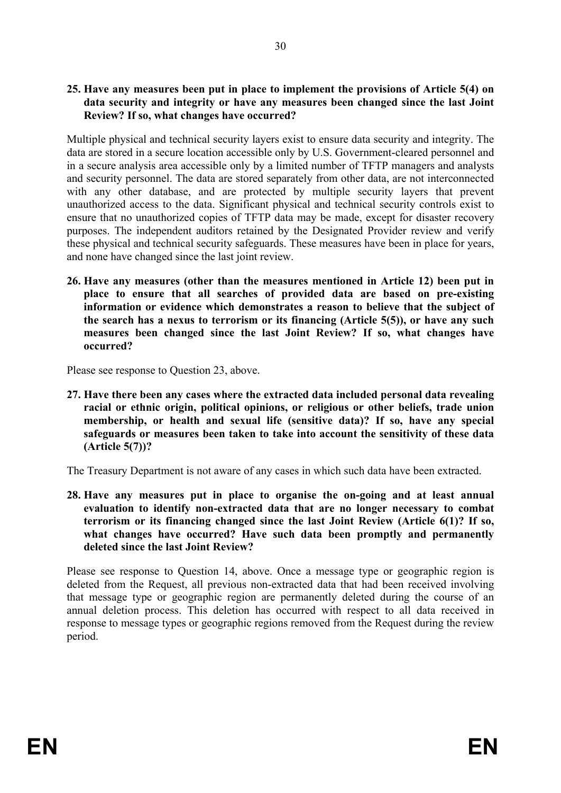#### **25. Have any measures been put in place to implement the provisions of Article 5(4) on data security and integrity or have any measures been changed since the last Joint Review? If so, what changes have occurred?**

Multiple physical and technical security layers exist to ensure data security and integrity. The data are stored in a secure location accessible only by U.S. Government-cleared personnel and in a secure analysis area accessible only by a limited number of TFTP managers and analysts and security personnel. The data are stored separately from other data, are not interconnected with any other database, and are protected by multiple security layers that prevent unauthorized access to the data. Significant physical and technical security controls exist to ensure that no unauthorized copies of TFTP data may be made, except for disaster recovery purposes. The independent auditors retained by the Designated Provider review and verify these physical and technical security safeguards. These measures have been in place for years, and none have changed since the last joint review.

**26. Have any measures (other than the measures mentioned in Article 12) been put in place to ensure that all searches of provided data are based on pre-existing information or evidence which demonstrates a reason to believe that the subject of the search has a nexus to terrorism or its financing (Article 5(5)), or have any such measures been changed since the last Joint Review? If so, what changes have occurred?**

Please see response to Question 23, above.

**27. Have there been any cases where the extracted data included personal data revealing racial or ethnic origin, political opinions, or religious or other beliefs, trade union membership, or health and sexual life (sensitive data)? If so, have any special safeguards or measures been taken to take into account the sensitivity of these data (Article 5(7))?**

The Treasury Department is not aware of any cases in which such data have been extracted.

**28. Have any measures put in place to organise the on-going and at least annual evaluation to identify non-extracted data that are no longer necessary to combat terrorism or its financing changed since the last Joint Review (Article 6(1)? If so, what changes have occurred? Have such data been promptly and permanently deleted since the last Joint Review?**

Please see response to Question 14, above. Once a message type or geographic region is deleted from the Request, all previous non-extracted data that had been received involving that message type or geographic region are permanently deleted during the course of an annual deletion process. This deletion has occurred with respect to all data received in response to message types or geographic regions removed from the Request during the review period.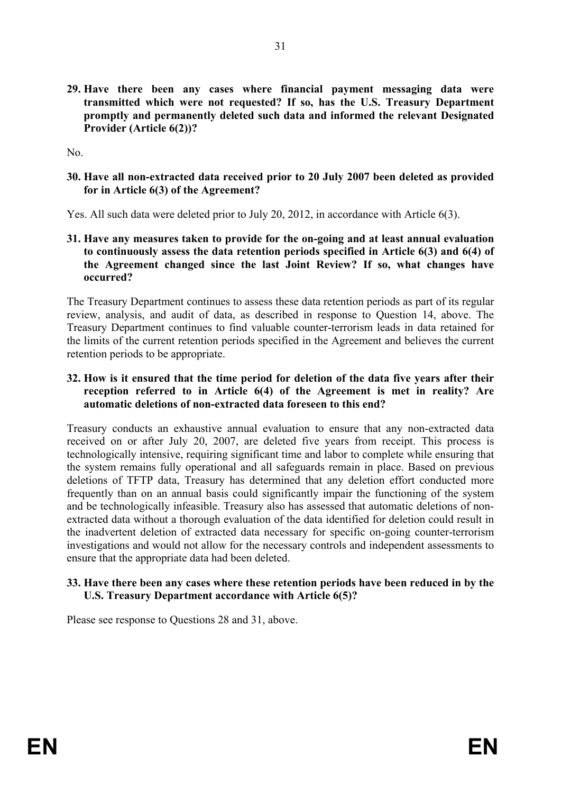**29. Have there been any cases where financial payment messaging data were transmitted which were not requested? If so, has the U.S. Treasury Department promptly and permanently deleted such data and informed the relevant Designated Provider (Article 6(2))?**

No.

**30. Have all non-extracted data received prior to 20 July 2007 been deleted as provided for in Article 6(3) of the Agreement?**

Yes. All such data were deleted prior to July 20, 2012, in accordance with Article 6(3).

**31. Have any measures taken to provide for the on-going and at least annual evaluation to continuously assess the data retention periods specified in Article 6(3) and 6(4) of the Agreement changed since the last Joint Review? If so, what changes have occurred?** 

The Treasury Department continues to assess these data retention periods as part of its regular review, analysis, and audit of data, as described in response to Question 14, above. The Treasury Department continues to find valuable counter-terrorism leads in data retained for the limits of the current retention periods specified in the Agreement and believes the current retention periods to be appropriate.

**32. How is it ensured that the time period for deletion of the data five years after their reception referred to in Article 6(4) of the Agreement is met in reality? Are automatic deletions of non-extracted data foreseen to this end?**

Treasury conducts an exhaustive annual evaluation to ensure that any non-extracted data received on or after July 20, 2007, are deleted five years from receipt. This process is technologically intensive, requiring significant time and labor to complete while ensuring that the system remains fully operational and all safeguards remain in place. Based on previous deletions of TFTP data, Treasury has determined that any deletion effort conducted more frequently than on an annual basis could significantly impair the functioning of the system and be technologically infeasible. Treasury also has assessed that automatic deletions of nonextracted data without a thorough evaluation of the data identified for deletion could result in the inadvertent deletion of extracted data necessary for specific on-going counter-terrorism investigations and would not allow for the necessary controls and independent assessments to ensure that the appropriate data had been deleted.

#### **33. Have there been any cases where these retention periods have been reduced in by the U.S. Treasury Department accordance with Article 6(5)?**

Please see response to Questions 28 and 31, above.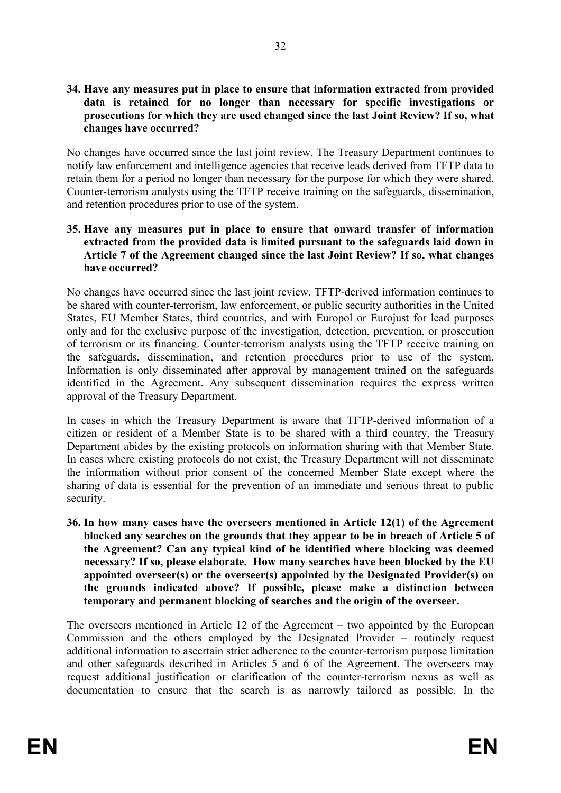#### **34. Have any measures put in place to ensure that information extracted from provided data is retained for no longer than necessary for specific investigations or prosecutions for which they are used changed since the last Joint Review? If so, what changes have occurred?**

No changes have occurred since the last joint review. The Treasury Department continues to notify law enforcement and intelligence agencies that receive leads derived from TFTP data to retain them for a period no longer than necessary for the purpose for which they were shared. Counter-terrorism analysts using the TFTP receive training on the safeguards, dissemination, and retention procedures prior to use of the system.

#### **35. Have any measures put in place to ensure that onward transfer of information extracted from the provided data is limited pursuant to the safeguards laid down in Article 7 of the Agreement changed since the last Joint Review? If so, what changes have occurred?**

No changes have occurred since the last joint review. TFTP-derived information continues to be shared with counter-terrorism, law enforcement, or public security authorities in the United States, EU Member States, third countries, and with Europol or Eurojust for lead purposes only and for the exclusive purpose of the investigation, detection, prevention, or prosecution of terrorism or its financing. Counter-terrorism analysts using the TFTP receive training on the safeguards, dissemination, and retention procedures prior to use of the system. Information is only disseminated after approval by management trained on the safeguards identified in the Agreement. Any subsequent dissemination requires the express written approval of the Treasury Department.

In cases in which the Treasury Department is aware that TFTP-derived information of a citizen or resident of a Member State is to be shared with a third country, the Treasury Department abides by the existing protocols on information sharing with that Member State. In cases where existing protocols do not exist, the Treasury Department will not disseminate the information without prior consent of the concerned Member State except where the sharing of data is essential for the prevention of an immediate and serious threat to public security.

**36. In how many cases have the overseers mentioned in Article 12(1) of the Agreement blocked any searches on the grounds that they appear to be in breach of Article 5 of the Agreement? Can any typical kind of be identified where blocking was deemed necessary? If so, please elaborate. How many searches have been blocked by the EU appointed overseer(s) or the overseer(s) appointed by the Designated Provider(s) on the grounds indicated above? If possible, please make a distinction between temporary and permanent blocking of searches and the origin of the overseer.**

The overseers mentioned in Article 12 of the Agreement – two appointed by the European Commission and the others employed by the Designated Provider – routinely request additional information to ascertain strict adherence to the counter-terrorism purpose limitation and other safeguards described in Articles 5 and 6 of the Agreement. The overseers may request additional justification or clarification of the counter-terrorism nexus as well as documentation to ensure that the search is as narrowly tailored as possible. In the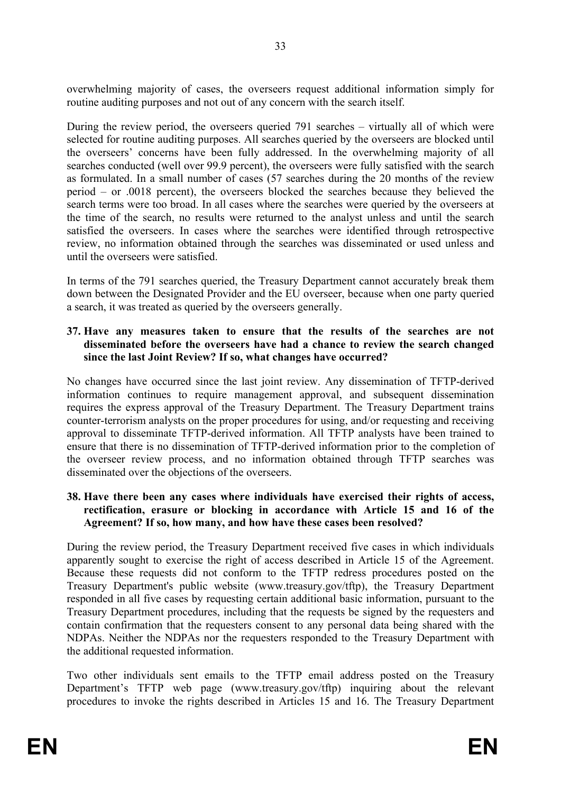overwhelming majority of cases, the overseers request additional information simply for routine auditing purposes and not out of any concern with the search itself.

During the review period, the overseers queried 791 searches – virtually all of which were selected for routine auditing purposes. All searches queried by the overseers are blocked until the overseers' concerns have been fully addressed. In the overwhelming majority of all searches conducted (well over 99.9 percent), the overseers were fully satisfied with the search as formulated. In a small number of cases (57 searches during the 20 months of the review period – or .0018 percent), the overseers blocked the searches because they believed the search terms were too broad. In all cases where the searches were queried by the overseers at the time of the search, no results were returned to the analyst unless and until the search satisfied the overseers. In cases where the searches were identified through retrospective review, no information obtained through the searches was disseminated or used unless and until the overseers were satisfied.

In terms of the 791 searches queried, the Treasury Department cannot accurately break them down between the Designated Provider and the EU overseer, because when one party queried a search, it was treated as queried by the overseers generally.

#### **37. Have any measures taken to ensure that the results of the searches are not disseminated before the overseers have had a chance to review the search changed since the last Joint Review? If so, what changes have occurred?**

No changes have occurred since the last joint review. Any dissemination of TFTP-derived information continues to require management approval, and subsequent dissemination requires the express approval of the Treasury Department. The Treasury Department trains counter-terrorism analysts on the proper procedures for using, and/or requesting and receiving approval to disseminate TFTP-derived information. All TFTP analysts have been trained to ensure that there is no dissemination of TFTP-derived information prior to the completion of the overseer review process, and no information obtained through TFTP searches was disseminated over the objections of the overseers.

#### **38. Have there been any cases where individuals have exercised their rights of access, rectification, erasure or blocking in accordance with Article 15 and 16 of the Agreement? If so, how many, and how have these cases been resolved?**

During the review period, the Treasury Department received five cases in which individuals apparently sought to exercise the right of access described in Article 15 of the Agreement. Because these requests did not conform to the TFTP redress procedures posted on the Treasury Department's public website (www.treasury.gov/tftp), the Treasury Department responded in all five cases by requesting certain additional basic information, pursuant to the Treasury Department procedures, including that the requests be signed by the requesters and contain confirmation that the requesters consent to any personal data being shared with the NDPAs. Neither the NDPAs nor the requesters responded to the Treasury Department with the additional requested information.

Two other individuals sent emails to the TFTP email address posted on the Treasury Department's TFTP web page (www.treasury.gov/tftp) inquiring about the relevant procedures to invoke the rights described in Articles 15 and 16. The Treasury Department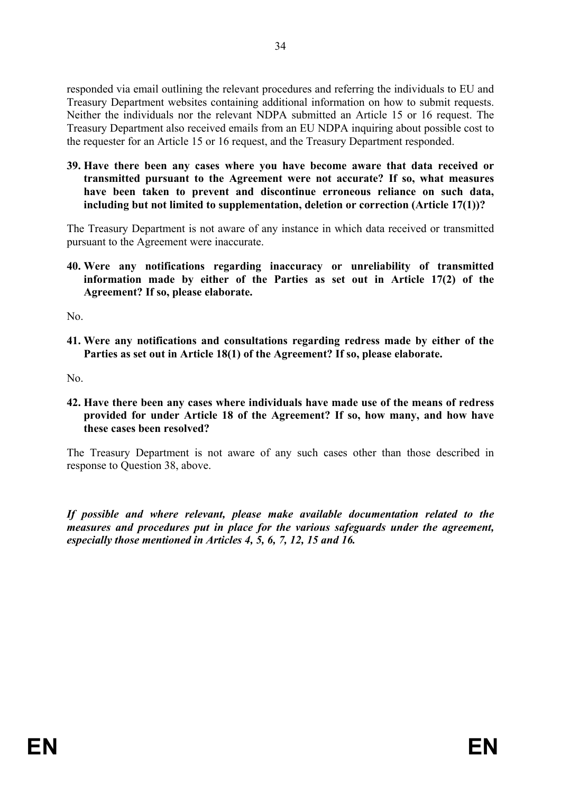responded via email outlining the relevant procedures and referring the individuals to EU and Treasury Department websites containing additional information on how to submit requests. Neither the individuals nor the relevant NDPA submitted an Article 15 or 16 request. The Treasury Department also received emails from an EU NDPA inquiring about possible cost to the requester for an Article 15 or 16 request, and the Treasury Department responded.

**39. Have there been any cases where you have become aware that data received or transmitted pursuant to the Agreement were not accurate? If so, what measures have been taken to prevent and discontinue erroneous reliance on such data, including but not limited to supplementation, deletion or correction (Article 17(1))?**

The Treasury Department is not aware of any instance in which data received or transmitted pursuant to the Agreement were inaccurate.

**40. Were any notifications regarding inaccuracy or unreliability of transmitted information made by either of the Parties as set out in Article 17(2) of the Agreement? If so, please elaborate.**

N<sub>o</sub>

**41. Were any notifications and consultations regarding redress made by either of the Parties as set out in Article 18(1) of the Agreement? If so, please elaborate.**

No.

**42. Have there been any cases where individuals have made use of the means of redress provided for under Article 18 of the Agreement? If so, how many, and how have these cases been resolved?**

The Treasury Department is not aware of any such cases other than those described in response to Question 38, above.

*If possible and where relevant, please make available documentation related to the measures and procedures put in place for the various safeguards under the agreement, especially those mentioned in Articles 4, 5, 6, 7, 12, 15 and 16.*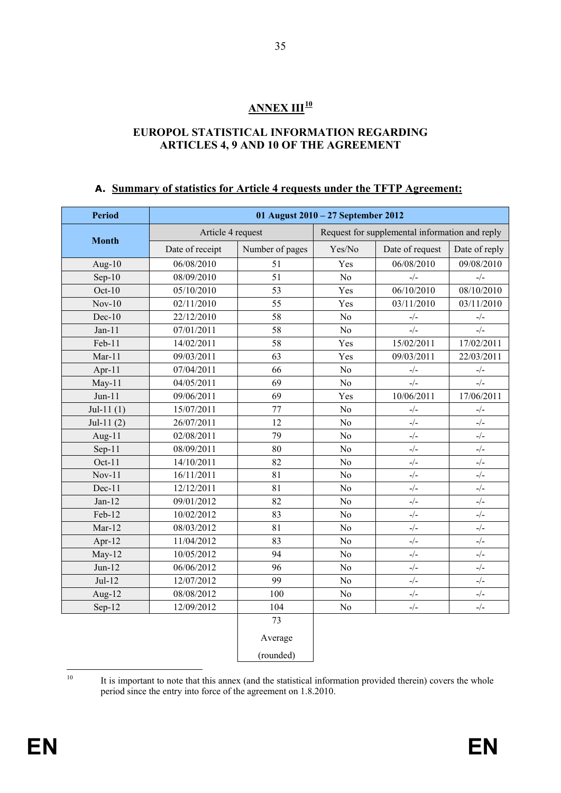## **ANNEX III[10](#page-36-0)**

#### **EUROPOL STATISTICAL INFORMATION REGARDING ARTICLES 4, 9 AND 10 OF THE AGREEMENT**

#### **A. Summary of statistics for Article 4 requests under the TFTP Agreement:**

| <b>Period</b> | 01 August 2010 - 27 September 2012 |                 |                |                                                |                                           |  |  |  |
|---------------|------------------------------------|-----------------|----------------|------------------------------------------------|-------------------------------------------|--|--|--|
|               | Article 4 request                  |                 |                | Request for supplemental information and reply |                                           |  |  |  |
| <b>Month</b>  | Date of receipt                    | Number of pages | Yes/No         | Date of request                                | Date of reply                             |  |  |  |
| Aug- $10$     | 06/08/2010                         | 51              | Yes            | 06/08/2010                                     | 09/08/2010                                |  |  |  |
| $Sep-10$      | 08/09/2010                         | 51              | N <sub>o</sub> | $\frac{\ }{2}$ /–                              | $\frac{\ }{2}\sqrt{\ }$                   |  |  |  |
| Oct- $10$     | 05/10/2010                         | 53              | Yes            | 06/10/2010                                     | 08/10/2010                                |  |  |  |
| $Nov-10$      | 02/11/2010                         | 55              | Yes            | 03/11/2010                                     | 03/11/2010                                |  |  |  |
| $Dec-10$      | 22/12/2010                         | 58              | No             | $\frac{\ }{2}\sqrt{\ }$                        | $_-/-$                                    |  |  |  |
| $Jan-11$      | 07/01/2011                         | 58              | No             | $-/-$                                          | $-/-$                                     |  |  |  |
| $Feb-11$      | 14/02/2011                         | 58              | Yes            | 15/02/2011                                     | 17/02/2011                                |  |  |  |
| $Mar-11$      | 09/03/2011                         | 63              | Yes            | 09/03/2011                                     | 22/03/2011                                |  |  |  |
| Apr-11        | 07/04/2011                         | 66              | No             | $-/-$                                          | $-/-$                                     |  |  |  |
| $May-11$      | 04/05/2011                         | 69              | No             | $-/-$                                          | $-/-$                                     |  |  |  |
| $Jun-11$      | 09/06/2011                         | 69              | Yes            | 10/06/2011                                     | 17/06/2011                                |  |  |  |
| Jul-11 $(1)$  | 15/07/2011                         | 77              | No             | $\frac{\ }{2}\sqrt{\ }$                        | $-/-$                                     |  |  |  |
| Jul-11 $(2)$  | 26/07/2011                         | 12              | No             | $-/-$                                          | $\frac{1}{2}$                             |  |  |  |
| Aug- $11$     | 02/08/2011                         | 79              | No             | $\frac{1}{2}$                                  | $\frac{\ }{2}$ / $\frac{1}{2}$            |  |  |  |
| $Sep-11$      | 08/09/2011                         | 80              | No             | $-/-$                                          | $_-/-$                                    |  |  |  |
| Oct-11        | 14/10/2011                         | 82              | No             | $_-/-$                                         | $_-/-$                                    |  |  |  |
| $Nov-11$      | 16/11/2011                         | 81              | No             | $-/-$                                          | $_-/-$                                    |  |  |  |
| Dec-11        | 12/12/2011                         | 81              | No             | $_-/-$                                         | $\frac{\ }{2}\sqrt{\ }$                   |  |  |  |
| $Jan-12$      | 09/01/2012                         | 82              | No             | $_-/-$                                         | $_-/-$                                    |  |  |  |
| Feb-12        | 10/02/2012                         | 83              | No             | $-/-$                                          | $_-/-$                                    |  |  |  |
| $Mar-12$      | 08/03/2012                         | 81              | No             | $_-/-$                                         | $_-/-$                                    |  |  |  |
| Apr-12        | 11/04/2012                         | 83              | No             | $-/-$                                          | $_-/-$                                    |  |  |  |
| $May-12$      | 10/05/2012                         | 94              | No             | $-/-$                                          | $-/-$                                     |  |  |  |
| $Jun-12$      | 06/06/2012                         | 96              | No             | $\frac{\ }{2}$ /–                              | $_-/-$                                    |  |  |  |
| $Jul-12$      | 12/07/2012                         | 99              | No             | $\frac{\ }{2}\sqrt{\ }$                        | $\frac{\ }{2}\sqrt{\ }$                   |  |  |  |
| Aug-12        | 08/08/2012                         | 100             | No             | $-/-$                                          | $\mathord{\text{--}}/\mathord{\text{--}}$ |  |  |  |
| Sep-12        | 12/09/2012                         | 104             | No             | $-/-$                                          | $_-/-$                                    |  |  |  |
|               |                                    | 73              |                |                                                |                                           |  |  |  |
|               |                                    | Average         |                |                                                |                                           |  |  |  |
|               |                                    | (rounded)       |                |                                                |                                           |  |  |  |

<span id="page-36-0"></span><sup>10</sup> It is important to note that this annex (and the statistical information provided therein) covers the whole period since the entry into force of the agreement on 1.8.2010.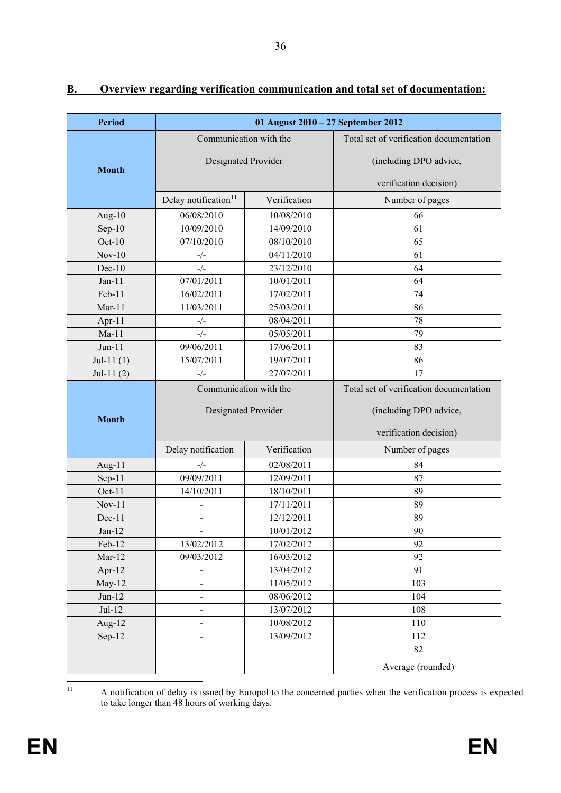| <b>Period</b> | 01 August 2010 - 27 September 2012 |              |                                                                   |  |  |  |
|---------------|------------------------------------|--------------|-------------------------------------------------------------------|--|--|--|
|               | Communication with the             |              | Total set of verification documentation                           |  |  |  |
| <b>Month</b>  | Designated Provider                |              | (including DPO advice,                                            |  |  |  |
|               |                                    |              | verification decision)                                            |  |  |  |
|               | Delay notification <sup>11</sup>   | Verification | Number of pages                                                   |  |  |  |
| Aug- $10$     | 06/08/2010                         | 10/08/2010   | 66                                                                |  |  |  |
| $Sep-10$      | 10/09/2010                         | 14/09/2010   | 61                                                                |  |  |  |
| $Oct-10$      | 07/10/2010                         | 08/10/2010   | 65                                                                |  |  |  |
| $Nov-10$      | $-/-$                              | 04/11/2010   | 61                                                                |  |  |  |
| $Dec-10$      | $-/-$                              | 23/12/2010   | 64                                                                |  |  |  |
| $Jan-11$      | 07/01/2011                         | 10/01/2011   | 64                                                                |  |  |  |
| Feb-11        | 16/02/2011                         | 17/02/2011   | 74                                                                |  |  |  |
| $Mar-11$      | 11/03/2011                         | 25/03/2011   | 86                                                                |  |  |  |
| Apr- $11$     | $-/-$                              | 08/04/2011   | 78                                                                |  |  |  |
| $Ma-11$       | $-/-$                              | 05/05/2011   | 79                                                                |  |  |  |
| Jun-11        | 09/06/2011                         | 17/06/2011   | 83                                                                |  |  |  |
| Jul-11 $(1)$  | 15/07/2011                         | 19/07/2011   | 86                                                                |  |  |  |
| Jul-11 $(2)$  | $-/-$                              | 27/07/2011   | 17                                                                |  |  |  |
|               | Communication with the             |              | Total set of verification documentation<br>(including DPO advice, |  |  |  |
| <b>Month</b>  | Designated Provider                |              | verification decision)                                            |  |  |  |
|               | Delay notification                 | Verification | Number of pages                                                   |  |  |  |
| Aug-11        | $-/-$                              | 02/08/2011   | 84                                                                |  |  |  |
| $Sep-11$      | 09/09/2011                         | 12/09/2011   | 87                                                                |  |  |  |
| $Oct-11$      | 14/10/2011                         | 18/10/2011   | 89                                                                |  |  |  |
| $Nov-11$      | $\overline{a}$                     | 17/11/2011   | 89                                                                |  |  |  |
| Dec-11        | $\overline{\phantom{0}}$           | 12/12/2011   | 89                                                                |  |  |  |
| $Jan-12$      |                                    | 10/01/2012   | 90                                                                |  |  |  |
| Feb-12        | 13/02/2012                         | 17/02/2012   | 92                                                                |  |  |  |
| $Mar-12$      | 09/03/2012                         | 16/03/2012   | 92                                                                |  |  |  |
| Apr-12        |                                    | 13/04/2012   | 91                                                                |  |  |  |
| $May-12$      | -                                  | 11/05/2012   | 103                                                               |  |  |  |
| $Jun-12$      | $\qquad \qquad \blacksquare$       | 08/06/2012   | 104                                                               |  |  |  |
| $Jul-12$      | -                                  | 13/07/2012   | 108                                                               |  |  |  |
| Aug- $12$     | $\overline{\phantom{0}}$           | 10/08/2012   | 110                                                               |  |  |  |
| $Sep-12$      | $\qquad \qquad \blacksquare$       | 13/09/2012   | 112                                                               |  |  |  |
|               |                                    |              | 82                                                                |  |  |  |
|               |                                    |              | Average (rounded)                                                 |  |  |  |

## **B. Overview regarding verification communication and total set of documentation:**

<span id="page-37-0"></span><sup>11</sup> A notification of delay is issued by Europol to the concerned parties when the verification process is expected to take longer than 48 hours of working days.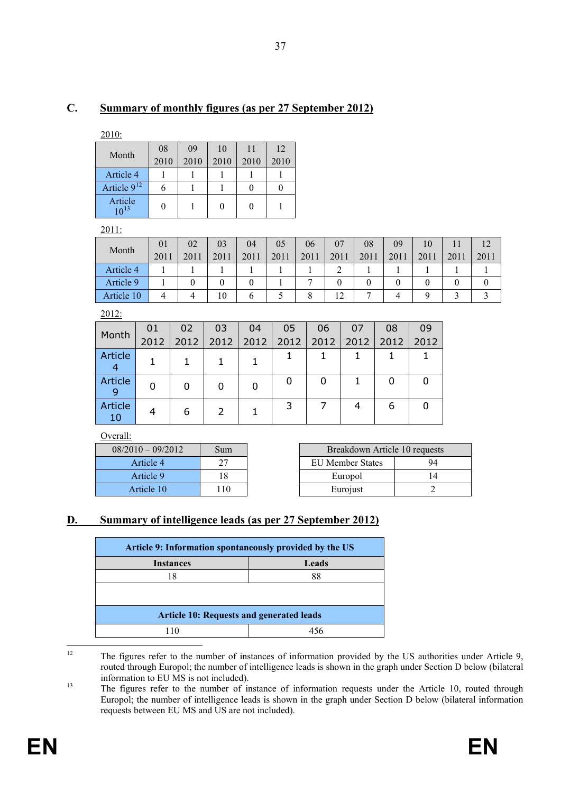## **C. Summary of monthly figures (as per 27 September 2012)**

2010:

| Month                | 08   | 09   | 10   | 11   | 12   |
|----------------------|------|------|------|------|------|
|                      | 2010 | 2010 | 2010 | 2010 | 2010 |
| Article 4            |      |      |      |      |      |
| Article $9^{12}$     |      |      |      |      |      |
| Article<br>$10^{13}$ |      |      |      |      |      |

2011:

|            | 01   | 02   | 03             | 04   | 05   | 06   | 07   | 08   | 09   | 10   |      | 12   |
|------------|------|------|----------------|------|------|------|------|------|------|------|------|------|
| Month      | 2011 | 2011 | 2011           | 2011 | 2011 | 2011 | 2011 | 2011 | 2011 | 2011 | 2011 | 2011 |
| Article 4  |      |      |                |      |      |      | ◠    |      |      |      |      |      |
| Article 9  |      |      |                |      |      |      |      |      |      |      |      |      |
| Article 10 | 4    |      | $\overline{0}$ | O    |      |      |      |      |      |      |      |      |

2012:

| Month         | 01   | 02   | 03   | 04   | 05   | 06   | 07   | 08   | 09   |
|---------------|------|------|------|------|------|------|------|------|------|
|               | 2012 | 2012 | 2012 | 2012 | 2012 | 2012 | 2012 | 2012 | 2012 |
| Article       |      |      |      |      |      |      |      |      |      |
| Article       |      | O    | O    |      | 0    | 0    |      | 0    |      |
| Article<br>10 |      | 6    |      |      | 3    |      |      | 6    |      |

Overall:

| $08/2010 - 09/2012$ | Sum |
|---------------------|-----|
| Article 4           | 27  |
| Article 9           | 18  |
| Article 10          | 110 |

| $08/2010 - 09/2012$ | Sum | Breakdown Article 10 requests |    |  |  |
|---------------------|-----|-------------------------------|----|--|--|
| Article 4           |     | EU Member States              | 94 |  |  |
| Article 9           |     | Europol                       |    |  |  |
| Article 10          |     | Eurojust                      |    |  |  |

### **D. Summary of intelligence leads (as per 27 September 2012)**

| Article 9: Information spontaneously provided by the US |    |  |  |  |  |
|---------------------------------------------------------|----|--|--|--|--|
| Leads<br><b>Instances</b>                               |    |  |  |  |  |
| 18                                                      | 88 |  |  |  |  |
|                                                         |    |  |  |  |  |
| <b>Article 10: Requests and generated leads</b>         |    |  |  |  |  |
|                                                         |    |  |  |  |  |

<span id="page-38-0"></span>

<sup>&</sup>lt;sup>12</sup> The figures refer to the number of instances of information provided by the US authorities under Article 9, routed through Europol; the number of intelligence leads is shown in the graph under Section D below (bilateral information to EU MS is not included).

<span id="page-38-1"></span><sup>&</sup>lt;sup>13</sup> The figures refer to the number of instance of information requests under the Article 10, routed through Europol; the number of intelligence leads is shown in the graph under Section D below (bilateral information requests between EU MS and US are not included).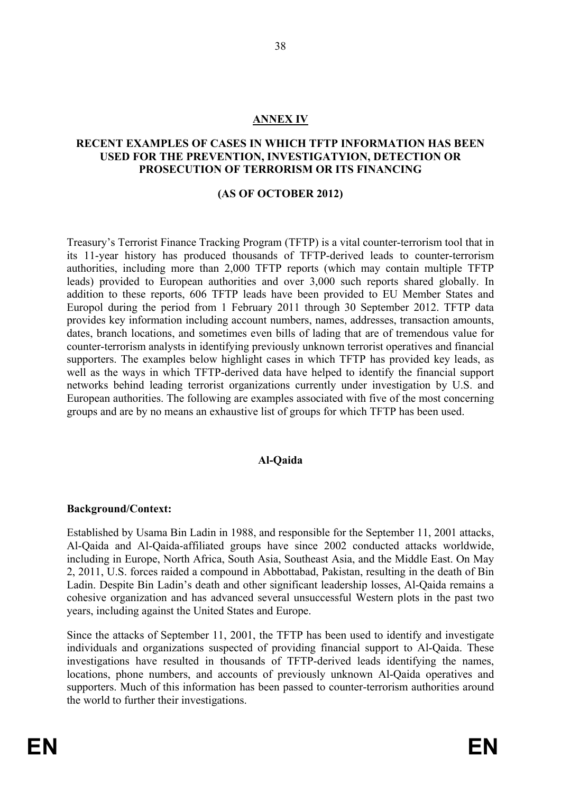#### **ANNEX IV**

#### **RECENT EXAMPLES OF CASES IN WHICH TFTP INFORMATION HAS BEEN USED FOR THE PREVENTION, INVESTIGATYION, DETECTION OR PROSECUTION OF TERRORISM OR ITS FINANCING**

#### **(AS OF OCTOBER 2012)**

Treasury's Terrorist Finance Tracking Program (TFTP) is a vital counter-terrorism tool that in its 11-year history has produced thousands of TFTP-derived leads to counter-terrorism authorities, including more than 2,000 TFTP reports (which may contain multiple TFTP leads) provided to European authorities and over 3,000 such reports shared globally. In addition to these reports, 606 TFTP leads have been provided to EU Member States and Europol during the period from 1 February 2011 through 30 September 2012. TFTP data provides key information including account numbers, names, addresses, transaction amounts, dates, branch locations, and sometimes even bills of lading that are of tremendous value for counter-terrorism analysts in identifying previously unknown terrorist operatives and financial supporters. The examples below highlight cases in which TFTP has provided key leads, as well as the ways in which TFTP-derived data have helped to identify the financial support networks behind leading terrorist organizations currently under investigation by U.S. and European authorities. The following are examples associated with five of the most concerning groups and are by no means an exhaustive list of groups for which TFTP has been used.

#### **Al-Qaida**

#### **Background/Context:**

Established by Usama Bin Ladin in 1988, and responsible for the September 11, 2001 attacks, Al-Qaida and Al-Qaida-affiliated groups have since 2002 conducted attacks worldwide, including in Europe, North Africa, South Asia, Southeast Asia, and the Middle East. On May 2, 2011, U.S. forces raided a compound in Abbottabad, Pakistan, resulting in the death of Bin Ladin. Despite Bin Ladin's death and other significant leadership losses, Al-Qaida remains a cohesive organization and has advanced several unsuccessful Western plots in the past two years, including against the United States and Europe.

Since the attacks of September 11, 2001, the TFTP has been used to identify and investigate individuals and organizations suspected of providing financial support to Al-Qaida. These investigations have resulted in thousands of TFTP-derived leads identifying the names, locations, phone numbers, and accounts of previously unknown Al-Qaida operatives and supporters. Much of this information has been passed to counter-terrorism authorities around the world to further their investigations.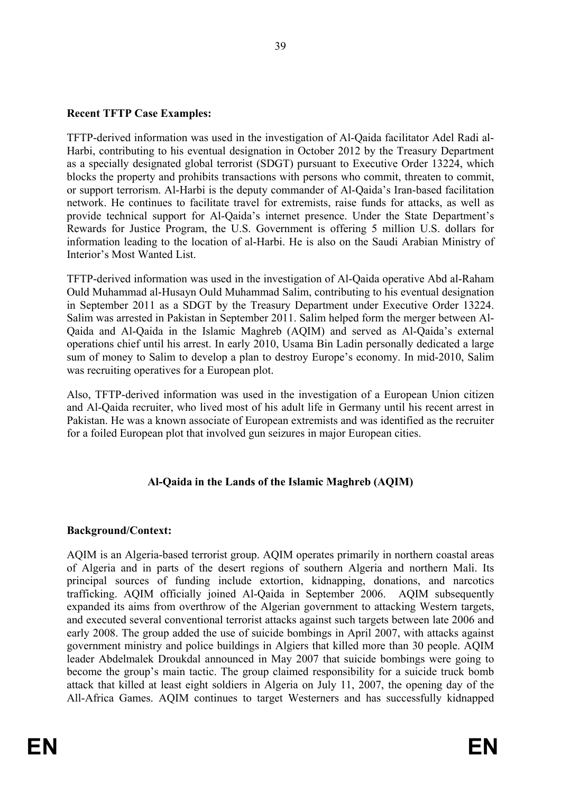### **Recent TFTP Case Examples:**

TFTP-derived information was used in the investigation of Al-Qaida facilitator Adel Radi al-Harbi, contributing to his eventual designation in October 2012 by the Treasury Department as a specially designated global terrorist (SDGT) pursuant to Executive Order 13224, which blocks the property and prohibits transactions with persons who commit, threaten to commit, or support terrorism. Al-Harbi is the deputy commander of Al-Qaida's Iran-based facilitation network. He continues to facilitate travel for extremists, raise funds for attacks, as well as provide technical support for Al-Qaida's internet presence. Under the State Department's Rewards for Justice Program, the U.S. Government is offering 5 million U.S. dollars for information leading to the location of al-Harbi. He is also on the Saudi Arabian Ministry of Interior's Most Wanted List.

TFTP-derived information was used in the investigation of Al-Qaida operative Abd al-Raham Ould Muhammad al-Husayn Ould Muhammad Salim, contributing to his eventual designation in September 2011 as a SDGT by the Treasury Department under Executive Order 13224. Salim was arrested in Pakistan in September 2011. Salim helped form the merger between Al-Qaida and Al-Qaida in the Islamic Maghreb (AQIM) and served as Al-Qaida's external operations chief until his arrest. In early 2010, Usama Bin Ladin personally dedicated a large sum of money to Salim to develop a plan to destroy Europe's economy. In mid-2010, Salim was recruiting operatives for a European plot.

Also, TFTP-derived information was used in the investigation of a European Union citizen and Al-Qaida recruiter, who lived most of his adult life in Germany until his recent arrest in Pakistan. He was a known associate of European extremists and was identified as the recruiter for a foiled European plot that involved gun seizures in major European cities.

### **Al-Qaida in the Lands of the Islamic Maghreb (AQIM)**

#### **Background/Context:**

AQIM is an Algeria-based terrorist group. AQIM operates primarily in northern coastal areas of Algeria and in parts of the desert regions of southern Algeria and northern Mali. Its principal sources of funding include extortion, kidnapping, donations, and narcotics trafficking. AQIM officially joined Al-Qaida in September 2006. AQIM subsequently expanded its aims from overthrow of the Algerian government to attacking Western targets, and executed several conventional terrorist attacks against such targets between late 2006 and early 2008. The group added the use of suicide bombings in April 2007, with attacks against government ministry and police buildings in Algiers that killed more than 30 people. AQIM leader Abdelmalek Droukdal announced in May 2007 that suicide bombings were going to become the group's main tactic. The group claimed responsibility for a suicide truck bomb attack that killed at least eight soldiers in Algeria on July 11, 2007, the opening day of the All-Africa Games. AQIM continues to target Westerners and has successfully kidnapped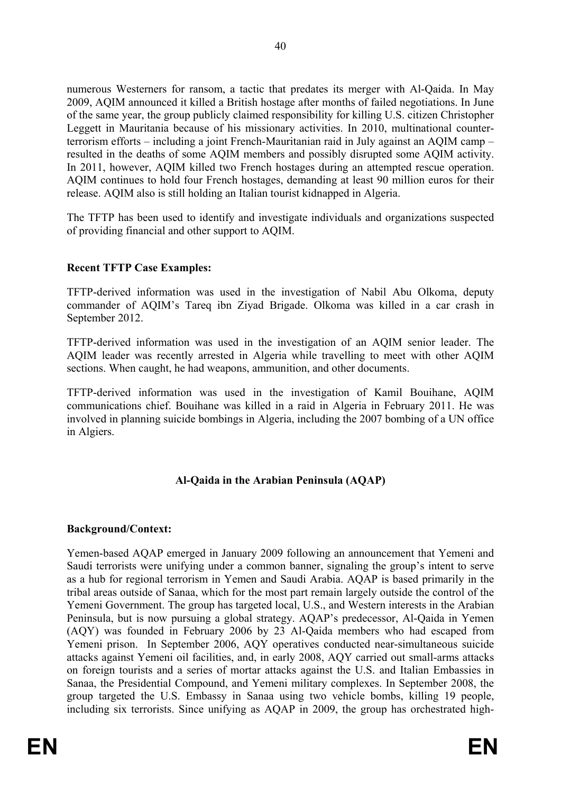numerous Westerners for ransom, a tactic that predates its merger with Al-Qaida. In May 2009, AQIM announced it killed a British hostage after months of failed negotiations. In June of the same year, the group publicly claimed responsibility for killing U.S. citizen Christopher Leggett in Mauritania because of his missionary activities. In 2010, multinational counterterrorism efforts – including a joint French-Mauritanian raid in July against an AQIM camp – resulted in the deaths of some AQIM members and possibly disrupted some AQIM activity. In 2011, however, AQIM killed two French hostages during an attempted rescue operation. AQIM continues to hold four French hostages, demanding at least 90 million euros for their release. AQIM also is still holding an Italian tourist kidnapped in Algeria.

The TFTP has been used to identify and investigate individuals and organizations suspected of providing financial and other support to AQIM.

### **Recent TFTP Case Examples:**

TFTP-derived information was used in the investigation of Nabil Abu Olkoma, deputy commander of AQIM's Tareq ibn Ziyad Brigade. Olkoma was killed in a car crash in September 2012.

TFTP-derived information was used in the investigation of an AQIM senior leader. The AQIM leader was recently arrested in Algeria while travelling to meet with other AQIM sections. When caught, he had weapons, ammunition, and other documents.

TFTP-derived information was used in the investigation of Kamil Bouihane, AQIM communications chief. Bouihane was killed in a raid in Algeria in February 2011. He was involved in planning suicide bombings in Algeria, including the 2007 bombing of a UN office in Algiers.

### **Al-Qaida in the Arabian Peninsula (AQAP)**

#### **Background/Context:**

Yemen-based AQAP emerged in January 2009 following an announcement that Yemeni and Saudi terrorists were unifying under a common banner, signaling the group's intent to serve as a hub for regional terrorism in Yemen and Saudi Arabia. AQAP is based primarily in the tribal areas outside of Sanaa, which for the most part remain largely outside the control of the Yemeni Government. The group has targeted local, U.S., and Western interests in the Arabian Peninsula, but is now pursuing a global strategy. AQAP's predecessor, Al-Qaida in Yemen (AQY) was founded in February 2006 by 23 Al-Qaida members who had escaped from Yemeni prison. In September 2006, AQY operatives conducted near-simultaneous suicide attacks against Yemeni oil facilities, and, in early 2008, AQY carried out small-arms attacks on foreign tourists and a series of mortar attacks against the U.S. and Italian Embassies in Sanaa, the Presidential Compound, and Yemeni military complexes. In September 2008, the group targeted the U.S. Embassy in Sanaa using two vehicle bombs, killing 19 people, including six terrorists. Since unifying as AQAP in 2009, the group has orchestrated high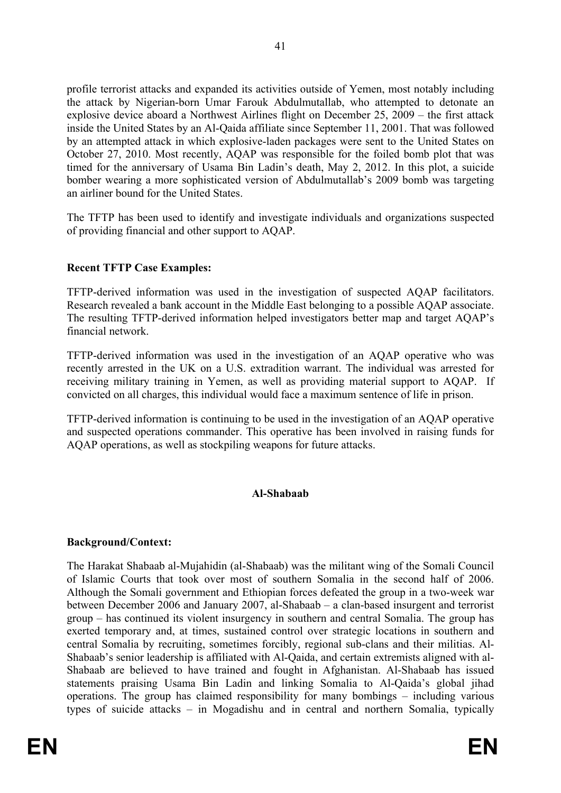profile terrorist attacks and expanded its activities outside of Yemen, most notably including the attack by Nigerian-born Umar Farouk Abdulmutallab, who attempted to detonate an explosive device aboard a Northwest Airlines flight on December 25, 2009 – the first attack inside the United States by an Al-Qaida affiliate since September 11, 2001. That was followed by an attempted attack in which explosive-laden packages were sent to the United States on October 27, 2010. Most recently, AQAP was responsible for the foiled bomb plot that was timed for the anniversary of Usama Bin Ladin's death, May 2, 2012. In this plot, a suicide bomber wearing a more sophisticated version of Abdulmutallab's 2009 bomb was targeting an airliner bound for the United States.

The TFTP has been used to identify and investigate individuals and organizations suspected of providing financial and other support to AQAP.

#### **Recent TFTP Case Examples:**

TFTP-derived information was used in the investigation of suspected AQAP facilitators. Research revealed a bank account in the Middle East belonging to a possible AQAP associate. The resulting TFTP-derived information helped investigators better map and target AQAP's financial network.

TFTP-derived information was used in the investigation of an AQAP operative who was recently arrested in the UK on a U.S. extradition warrant. The individual was arrested for receiving military training in Yemen, as well as providing material support to AQAP. If convicted on all charges, this individual would face a maximum sentence of life in prison.

TFTP-derived information is continuing to be used in the investigation of an AQAP operative and suspected operations commander. This operative has been involved in raising funds for AQAP operations, as well as stockpiling weapons for future attacks.

#### **Al-Shabaab**

#### **Background/Context:**

The Harakat Shabaab al-Mujahidin (al-Shabaab) was the militant wing of the Somali Council of Islamic Courts that took over most of southern Somalia in the second half of 2006. Although the Somali government and Ethiopian forces defeated the group in a two-week war between December 2006 and January 2007, al-Shabaab – a clan-based insurgent and terrorist group – has continued its violent insurgency in southern and central Somalia. The group has exerted temporary and, at times, sustained control over strategic locations in southern and central Somalia by recruiting, sometimes forcibly, regional sub-clans and their militias. Al-Shabaab's senior leadership is affiliated with Al-Qaida, and certain extremists aligned with al-Shabaab are believed to have trained and fought in Afghanistan. Al-Shabaab has issued statements praising Usama Bin Ladin and linking Somalia to Al-Qaida's global jihad operations. The group has claimed responsibility for many bombings – including various types of suicide attacks – in Mogadishu and in central and northern Somalia, typically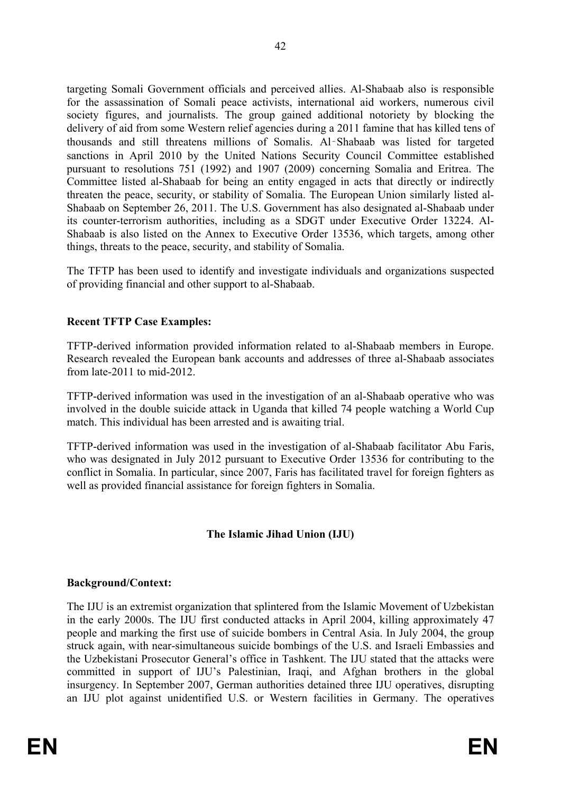targeting Somali Government officials and perceived allies. Al-Shabaab also is responsible for the assassination of Somali peace activists, international aid workers, numerous civil society figures, and journalists. The group gained additional notoriety by blocking the delivery of aid from some Western relief agencies during a 2011 famine that has killed tens of thousands and still threatens millions of Somalis. Al‑Shabaab was listed for targeted sanctions in April 2010 by the United Nations Security Council Committee established pursuant to resolutions 751 (1992) and 1907 (2009) concerning Somalia and Eritrea. The Committee listed al-Shabaab for being an entity engaged in acts that directly or indirectly threaten the peace, security, or stability of Somalia. The European Union similarly listed al-Shabaab on September 26, 2011. The U.S. Government has also designated al-Shabaab under its counter-terrorism authorities, including as a SDGT under Executive Order 13224. Al-Shabaab is also listed on the Annex to Executive Order 13536, which targets, among other things, threats to the peace, security, and stability of Somalia.

The TFTP has been used to identify and investigate individuals and organizations suspected of providing financial and other support to al-Shabaab.

### **Recent TFTP Case Examples:**

TFTP-derived information provided information related to al-Shabaab members in Europe. Research revealed the European bank accounts and addresses of three al-Shabaab associates from late-2011 to mid-2012.

TFTP-derived information was used in the investigation of an al-Shabaab operative who was involved in the double suicide attack in Uganda that killed 74 people watching a World Cup match. This individual has been arrested and is awaiting trial.

TFTP-derived information was used in the investigation of al-Shabaab facilitator Abu Faris, who was designated in July 2012 pursuant to Executive Order 13536 for contributing to the conflict in Somalia. In particular, since 2007, Faris has facilitated travel for foreign fighters as well as provided financial assistance for foreign fighters in Somalia.

#### **The Islamic Jihad Union (IJU)**

#### **Background/Context:**

The IJU is an extremist organization that splintered from the Islamic Movement of Uzbekistan in the early 2000s. The IJU first conducted attacks in April 2004, killing approximately 47 people and marking the first use of suicide bombers in Central Asia. In July 2004, the group struck again, with near-simultaneous suicide bombings of the U.S. and Israeli Embassies and the Uzbekistani Prosecutor General's office in Tashkent. The IJU stated that the attacks were committed in support of IJU's Palestinian, Iraqi, and Afghan brothers in the global insurgency. In September 2007, German authorities detained three IJU operatives, disrupting an IJU plot against unidentified U.S. or Western facilities in Germany. The operatives